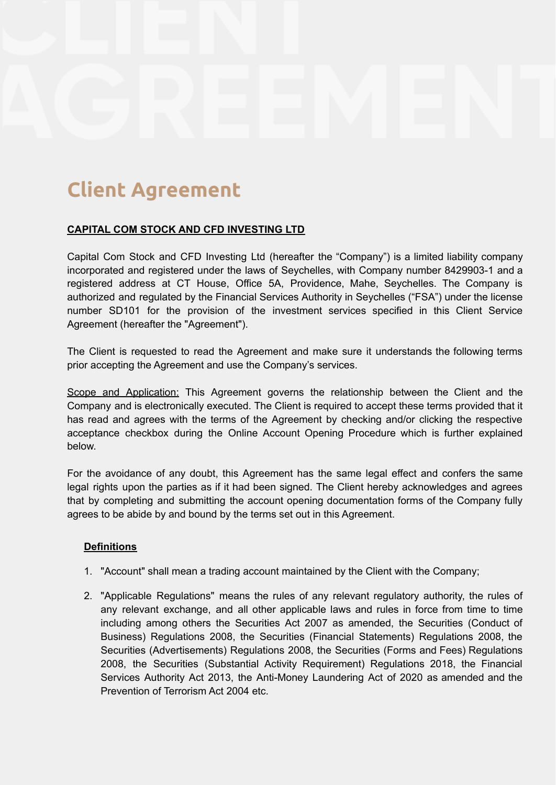# **Client Agreement**

# **CAPITAL COM STOCK AND CFD INVESTING LTD**

Capital Com Stock and CFD Investing Ltd (hereafter the "Company") is a limited liability company incorporated and registered under the laws of Seychelles, with Company number 8429903-1 and a registered address at CT House, Office 5A, Providence, Mahe, Seychelles. The Company is authorized and regulated by the Financial Services Authority in Seychelles ("FSA") under the license number SD101 for the provision of the investment services specified in this Client Service Agreement (hereafter the "Agreement").

The Client is requested to read the Agreement and make sure it understands the following terms prior accepting the Agreement and use the Company's services.

Scope and Application: This Agreement governs the relationship between the Client and the Company and is electronically executed. The Client is required to accept these terms provided that it has read and agrees with the terms of the Agreement by checking and/or clicking the respective acceptance checkbox during the Online Account Opening Procedure which is further explained below.

For the avoidance of any doubt, this Agreement has the same legal effect and confers the same legal rights upon the parties as if it had been signed. The Client hereby acknowledges and agrees that by completing and submitting the account opening documentation forms of the Company fully agrees to be abide by and bound by the terms set out in this Agreement.

# **Definitions**

- 1. "Account" shall mean a trading account maintained by the Client with the Company;
- 2. "Applicable Regulations" means the rules of any relevant regulatory authority, the rules of any relevant exchange, and all other applicable laws and rules in force from time to time including among others the Securities Act 2007 as amended, the Securities (Conduct of Business) Regulations 2008, the Securities (Financial Statements) Regulations 2008, the Securities (Advertisements) Regulations 2008, the Securities (Forms and Fees) Regulations 2008, the Securities (Substantial Activity Requirement) Regulations 2018, the Financial Services Authority Act 2013, the Anti-Money Laundering Act of 2020 as amended and the Prevention of Terrorism Act 2004 etc.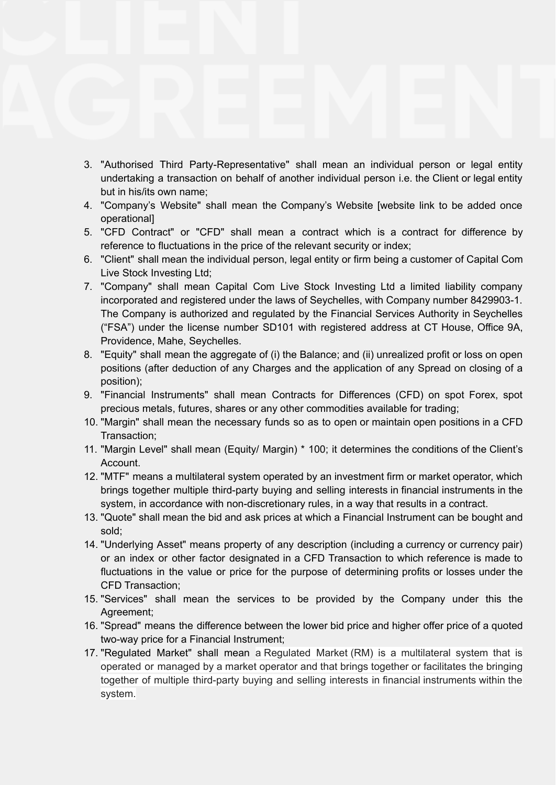- 3. "Authorised Third Party-Representative" shall mean an individual person or legal entity undertaking a transaction on behalf of another individual person i.e. the Client or legal entity but in his/its own name;
- 4. "Company's Website" shall mean the Company's Website [website link to be added once operational]
- 5. "CFD Contract" or "CFD" shall mean a contract which is a contract for difference by reference to fluctuations in the price of the relevant security or index;
- 6. "Client" shall mean the individual person, legal entity or firm being a customer of Capital Com Live Stock Investing Ltd;
- 7. "Company" shall mean Capital Com Live Stock Investing Ltd a limited liability company incorporated and registered under the laws of Seychelles, with Company number 8429903-1. The Company is authorized and regulated by the Financial Services Authority in Seychelles ("FSA") under the license number SD101 with registered address at CT House, Office 9A, Providence, Mahe, Seychelles.
- 8. "Equity" shall mean the aggregate of (i) the Balance; and (ii) unrealized profit or loss on open positions (after deduction of any Charges and the application of any Spread on closing of a position);
- 9. "Financial Instruments" shall mean Contracts for Differences (CFD) on spot Forex, spot precious metals, futures, shares or any other commodities available for trading;
- 10. "Margin" shall mean the necessary funds so as to open or maintain open positions in a CFD Transaction;
- 11. "Margin Level" shall mean (Equity/ Margin) \* 100; it determines the conditions of the Client's Account.
- 12. "MTF" means a multilateral system operated by an investment firm or market operator, which brings together multiple third-party buying and selling interests in financial instruments in the system, in accordance with non-discretionary rules, in a way that results in a contract.
- 13. "Quote" shall mean the bid and ask prices at which a Financial Instrument can be bought and sold;
- 14. "Underlying Asset" means property of any description (including a currency or currency pair) or an index or other factor designated in a CFD Transaction to which reference is made to fluctuations in the value or price for the purpose of determining profits or losses under the CFD Transaction;
- 15. "Services" shall mean the services to be provided by the Company under this the Agreement;
- 16. "Spread" means the difference between the lower bid price and higher offer price of a quoted two-way price for a Financial Instrument;
- 17. "Regulated Market" shall mean a Regulated Market (RM) is a multilateral system that is operated or managed by a market operator and that brings together or facilitates the bringing together of multiple third-party buying and selling interests in financial instruments within the system.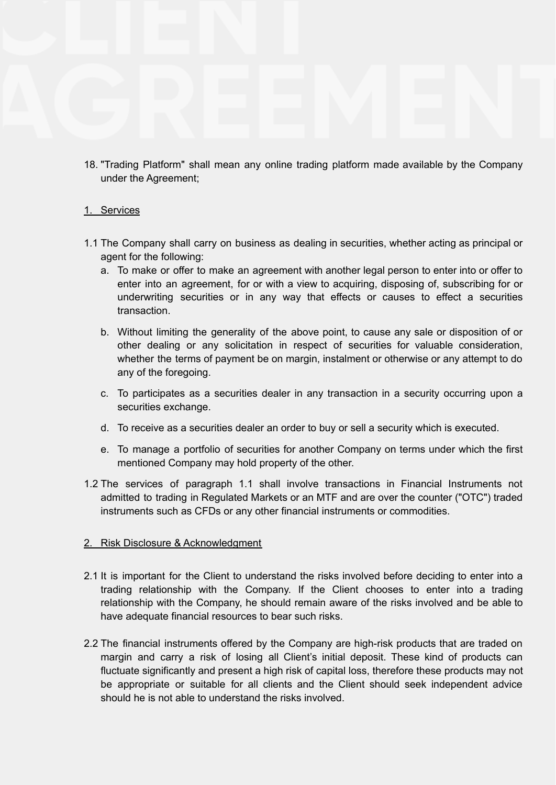18. "Trading Platform" shall mean any online trading platform made available by the Company under the Agreement;

# 1. Services

- 1.1 The Company shall carry on business as dealing in securities, whether acting as principal or agent for the following:
	- a. To make or offer to make an agreement with another legal person to enter into or offer to enter into an agreement, for or with a view to acquiring, disposing of, subscribing for or underwriting securities or in any way that effects or causes to effect a securities transaction.
	- b. Without limiting the generality of the above point, to cause any sale or disposition of or other dealing or any solicitation in respect of securities for valuable consideration, whether the terms of payment be on margin, instalment or otherwise or any attempt to do any of the foregoing.
	- c. To participates as a securities dealer in any transaction in a security occurring upon a securities exchange.
	- d. To receive as a securities dealer an order to buy or sell a security which is executed.
	- e. To manage a portfolio of securities for another Company on terms under which the first mentioned Company may hold property of the other.
- 1.2 The services of paragraph 1.1 shall involve transactions in Financial Instruments not admitted to trading in Regulated Markets or an MTF and are over the counter ("OTC") traded instruments such as CFDs or any other financial instruments or commodities.

# 2. Risk Disclosure & Acknowledgment

- 2.1 It is important for the Client to understand the risks involved before deciding to enter into a trading relationship with the Company. If the Client chooses to enter into a trading relationship with the Company, he should remain aware of the risks involved and be able to have adequate financial resources to bear such risks.
- 2.2 The financial instruments offered by the Company are high-risk products that are traded on margin and carry a risk of losing all Client's initial deposit. These kind of products can fluctuate significantly and present a high risk of capital loss, therefore these products may not be appropriate or suitable for all clients and the Client should seek independent advice should he is not able to understand the risks involved.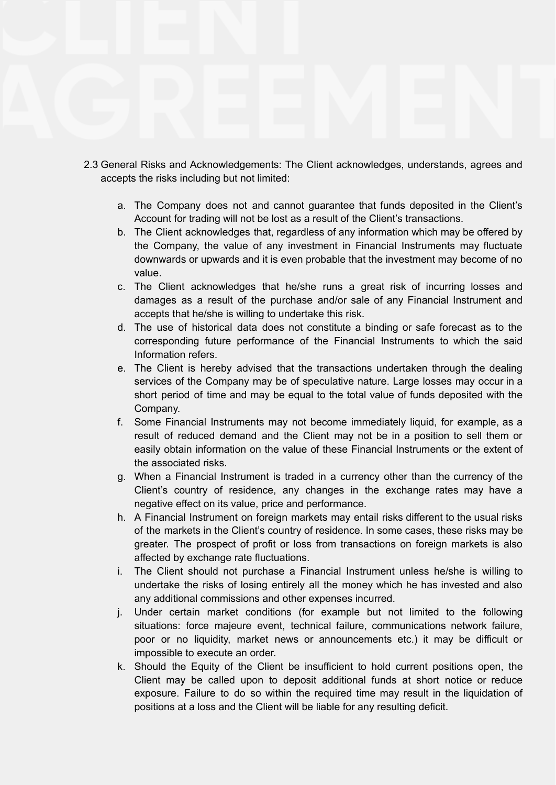- 2.3 General Risks and Acknowledgements: The Client acknowledges, understands, agrees and accepts the risks including but not limited:
	- a. The Company does not and cannot guarantee that funds deposited in the Client's Account for trading will not be lost as a result of the Client's transactions.
	- b. The Client acknowledges that, regardless of any information which may be offered by the Company, the value of any investment in Financial Instruments may fluctuate downwards or upwards and it is even probable that the investment may become of no value.
	- c. The Client acknowledges that he/she runs a great risk of incurring losses and damages as a result of the purchase and/or sale of any Financial Instrument and accepts that he/she is willing to undertake this risk.
	- d. The use of historical data does not constitute a binding or safe forecast as to the corresponding future performance of the Financial Instruments to which the said Information refers.
	- e. The Client is hereby advised that the transactions undertaken through the dealing services of the Company may be of speculative nature. Large losses may occur in a short period of time and may be equal to the total value of funds deposited with the Company.
	- f. Some Financial Instruments may not become immediately liquid, for example, as a result of reduced demand and the Client may not be in a position to sell them or easily obtain information on the value of these Financial Instruments or the extent of the associated risks.
	- g. When a Financial Instrument is traded in a currency other than the currency of the Client's country of residence, any changes in the exchange rates may have a negative effect on its value, price and performance.
	- h. A Financial Instrument on foreign markets may entail risks different to the usual risks of the markets in the Client's country of residence. In some cases, these risks may be greater. The prospect of profit or loss from transactions on foreign markets is also affected by exchange rate fluctuations.
	- i. The Client should not purchase a Financial Instrument unless he/she is willing to undertake the risks of losing entirely all the money which he has invested and also any additional commissions and other expenses incurred.
	- j. Under certain market conditions (for example but not limited to the following situations: force majeure event, technical failure, communications network failure, poor or no liquidity, market news or announcements etc.) it may be difficult or impossible to execute an order.
	- k. Should the Equity of the Client be insufficient to hold current positions open, the Client may be called upon to deposit additional funds at short notice or reduce exposure. Failure to do so within the required time may result in the liquidation of positions at a loss and the Client will be liable for any resulting deficit.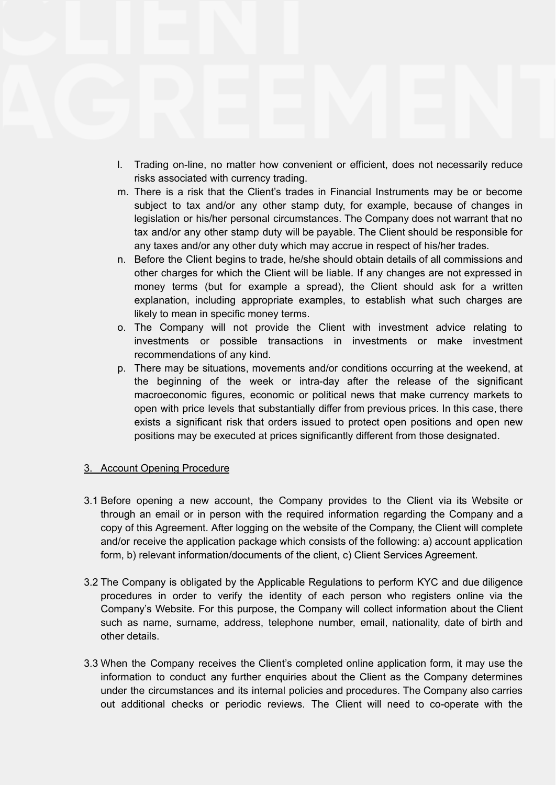- l. Trading on-line, no matter how convenient or efficient, does not necessarily reduce risks associated with currency trading.
- m. There is a risk that the Client's trades in Financial Instruments may be or become subject to tax and/or any other stamp duty, for example, because of changes in legislation or his/her personal circumstances. The Company does not warrant that no tax and/or any other stamp duty will be payable. The Client should be responsible for any taxes and/or any other duty which may accrue in respect of his/her trades.
- n. Before the Client begins to trade, he/she should obtain details of all commissions and other charges for which the Client will be liable. If any changes are not expressed in money terms (but for example a spread), the Client should ask for a written explanation, including appropriate examples, to establish what such charges are likely to mean in specific money terms.
- o. The Company will not provide the Client with investment advice relating to investments or possible transactions in investments or make investment recommendations of any kind.
- p. There may be situations, movements and/or conditions occurring at the weekend, at the beginning of the week or intra-day after the release of the significant macroeconomic figures, economic or political news that make currency markets to open with price levels that substantially differ from previous prices. In this case, there exists a significant risk that orders issued to protect open positions and open new positions may be executed at prices significantly different from those designated.

# 3. Account Opening Procedure

- 3.1 Before opening a new account, the Company provides to the Client via its Website or through an email or in person with the required information regarding the Company and a copy of this Agreement. After logging on the website of the Company, the Client will complete and/or receive the application package which consists of the following: a) account application form, b) relevant information/documents of the client, c) Client Services Agreement.
- 3.2 The Company is obligated by the Applicable Regulations to perform KYC and due diligence procedures in order to verify the identity of each person who registers online via the Company's Website. For this purpose, the Company will collect information about the Client such as name, surname, address, telephone number, email, nationality, date of birth and other details.
- 3.3 When the Company receives the Client's completed online application form, it may use the information to conduct any further enquiries about the Client as the Company determines under the circumstances and its internal policies and procedures. The Company also carries out additional checks or periodic reviews. The Client will need to co-operate with the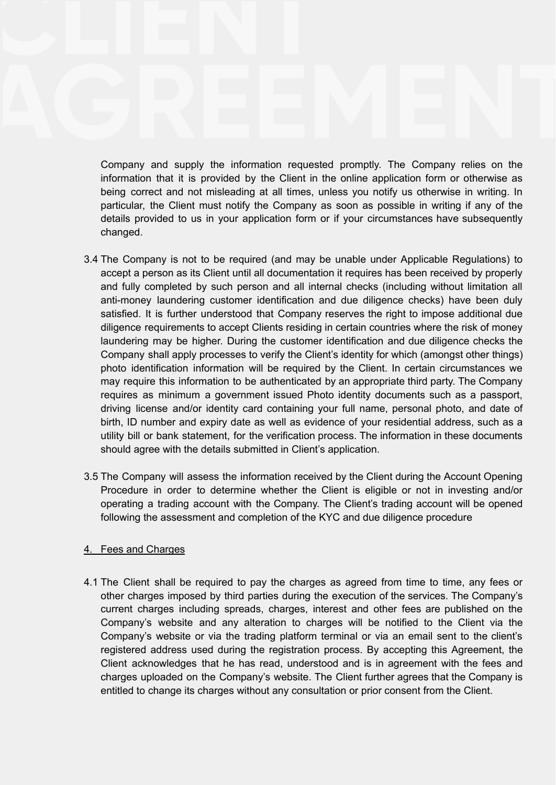Company and supply the information requested promptly. The Company relies on the information that it is provided by the Client in the online application form or otherwise as being correct and not misleading at all times, unless you notify us otherwise in writing. In particular, the Client must notify the Company as soon as possible in writing if any of the details provided to us in your application form or if your circumstances have subsequently changed.

- 3.4 The Company is not to be required (and may be unable under Applicable Regulations) to accept a person as its Client until all documentation it requires has been received by properly and fully completed by such person and all internal checks (including without limitation all anti-money laundering customer identification and due diligence checks) have been duly satisfied. It is further understood that Company reserves the right to impose additional due diligence requirements to accept Clients residing in certain countries where the risk of money laundering may be higher. During the customer identification and due diligence checks the Company shall apply processes to verify the Client's identity for which (amongst other things) photo identification information will be required by the Client. In certain circumstances we may require this information to be authenticated by an appropriate third party. The Company requires as minimum a government issued Photo identity documents such as a passport, driving license and/or identity card containing your full name, personal photo, and date of birth, ID number and expiry date as well as evidence of your residential address, such as a utility bill or bank statement, for the verification process. The information in these documents should agree with the details submitted in Client's application.
- 3.5 The Company will assess the information received by the Client during the Account Opening Procedure in order to determine whether the Client is eligible or not in investing and/or operating a trading account with the Company. The Client's trading account will be opened following the assessment and completion of the KYC and due diligence procedure

#### 4. Fees and Charges

4.1 The Client shall be required to pay the charges as agreed from time to time, any fees or other charges imposed by third parties during the execution of the services. The Company's current charges including spreads, charges, interest and other fees are published on the Company's website and any alteration to charges will be notified to the Client via the Company's website or via the trading platform terminal or via an email sent to the client's registered address used during the registration process. By accepting this Agreement, the Client acknowledges that he has read, understood and is in agreement with the fees and charges uploaded on the Company's website. The Client further agrees that the Company is entitled to change its charges without any consultation or prior consent from the Client.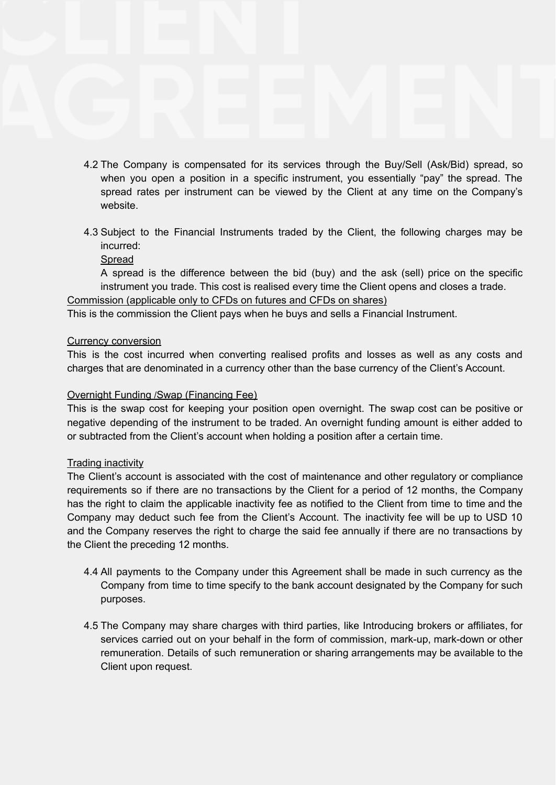- 4.2 The Company is compensated for its services through the Buy/Sell (Ask/Bid) spread, so when you open a position in a specific instrument, you essentially "pay" the spread. The spread rates per instrument can be viewed by the Client at any time on the Company's website.
- 4.3 Subject to the Financial Instruments traded by the Client, the following charges may be incurred:
	- Spread

A spread is the difference between the bid (buy) and the ask (sell) price on the specific instrument you trade. This cost is realised every time the Client opens and closes a trade.

Commission (applicable only to CFDs on futures and CFDs on shares)

This is the commission the Client pays when he buys and sells a Financial Instrument.

### Currency conversion

This is the cost incurred when converting realised profits and losses as well as any costs and charges that are denominated in a currency other than the base currency of the Client's Account.

#### Overnight Funding /Swap (Financing Fee)

This is the swap cost for keeping your position open overnight. The swap cost can be positive or negative depending of the instrument to be traded. An overnight funding amount is either added to or subtracted from the Client's account when holding a position after a certain time.

#### Trading inactivity

The Client's account is associated with the cost of maintenance and other regulatory or compliance requirements so if there are no transactions by the Client for a period of 12 months, the Company has the right to claim the applicable inactivity fee as notified to the Client from time to time and the Company may deduct such fee from the Client's Account. The inactivity fee will be up to USD 10 and the Company reserves the right to charge the said fee annually if there are no transactions by the Client the preceding 12 months.

- 4.4 All payments to the Company under this Agreement shall be made in such currency as the Company from time to time specify to the bank account designated by the Company for such purposes.
- 4.5 The Company may share charges with third parties, like Introducing brokers or affiliates, for services carried out on your behalf in the form of commission, mark-up, mark-down or other remuneration. Details of such remuneration or sharing arrangements may be available to the Client upon request.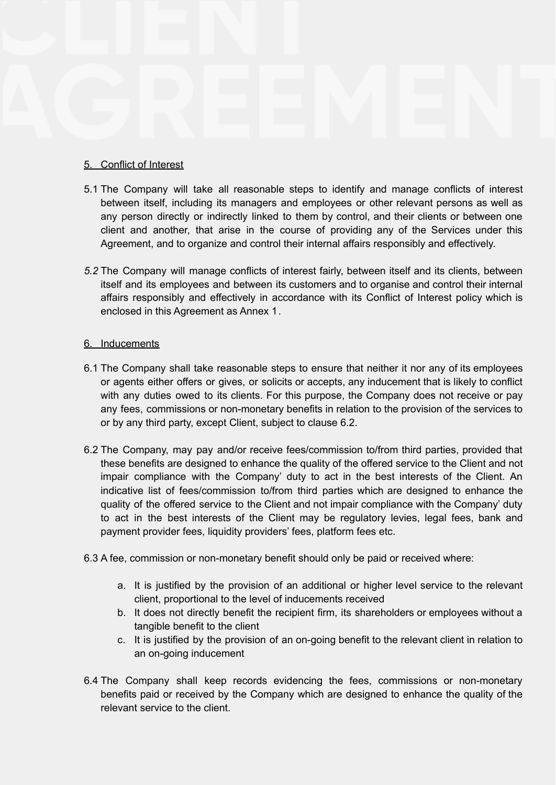# 5. Conflict of Interest

- 5.1 The Company will take all reasonable steps to identify and manage conflicts of interest between itself, including its managers and employees or other relevant persons as well as any person directly or indirectly linked to them by control, and their clients or between one client and another, that arise in the course of providing any of the Services under this Agreement, and to organize and control their internal affairs responsibly and effectively.
- *5.2* The Company will manage conflicts of interest fairly, between itself and its clients, between itself and its employees and between its customers and to organise and control their internal affairs responsibly and effectively in accordance with its Conflict of Interest policy which is enclosed in this Agreement as Annex 1*.*

### 6. Inducements

- 6.1 The Company shall take reasonable steps to ensure that neither it nor any of its employees or agents either offers or gives, or solicits or accepts, any inducement that is likely to conflict with any duties owed to its clients. For this purpose, the Company does not receive or pay any fees, commissions or non-monetary benefits in relation to the provision of the services to or by any third party, except Client, subject to clause 6.2.
- 6.2 The Company, may pay and/or receive fees/commission to/from third parties, provided that these benefits are designed to enhance the quality of the offered service to the Client and not impair compliance with the Company' duty to act in the best interests of the Client. An indicative list of fees/commission to/from third parties which are designed to enhance the quality of the offered service to the Client and not impair compliance with the Company' duty to act in the best interests of the Client may be regulatory levies, legal fees, bank and payment provider fees, liquidity providers' fees, platform fees etc.
- 6.3 A fee, commission or non-monetary benefit should only be paid or received where:
	- a. It is justified by the provision of an additional or higher level service to the relevant client, proportional to the level of inducements received
	- b. It does not directly benefit the recipient firm, its shareholders or employees without a tangible benefit to the client
	- c. It is justified by the provision of an on-going benefit to the relevant client in relation to an on-going inducement
- 6.4 The Company shall keep records evidencing the fees, commissions or non-monetary benefits paid or received by the Company which are designed to enhance the quality of the relevant service to the client.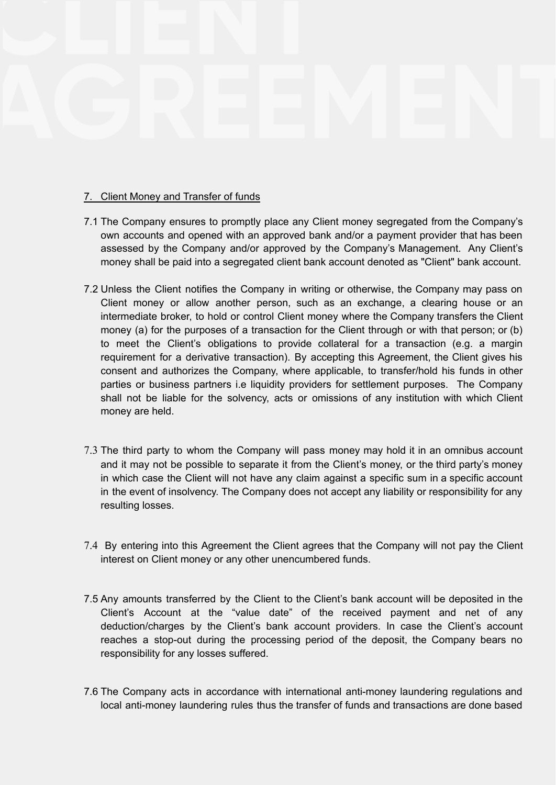# 7. Client Money and Transfer of funds

- 7.1 The Company ensures to promptly place any Client money segregated from the Company's own accounts and opened with an approved bank and/or a payment provider that has been assessed by the Company and/or approved by the Company's Management. Any Client's money shall be paid into a segregated client bank account denoted as "Client" bank account.
- 7.2 Unless the Client notifies the Company in writing or otherwise, the Company may pass on Client money or allow another person, such as an exchange, a clearing house or an intermediate broker, to hold or control Client money where the Company transfers the Client money (a) for the purposes of a transaction for the Client through or with that person; or (b) to meet the Client's obligations to provide collateral for a transaction (e.g. a margin requirement for a derivative transaction). By accepting this Agreement, the Client gives his consent and authorizes the Company, where applicable, to transfer/hold his funds in other parties or business partners i.e liquidity providers for settlement purposes. The Company shall not be liable for the solvency, acts or omissions of any institution with which Client money are held.
- 7.3 The third party to whom the Company will pass money may hold it in an omnibus account and it may not be possible to separate it from the Client's money, or the third party's money in which case the Client will not have any claim against a specific sum in a specific account in the event of insolvency. The Company does not accept any liability or responsibility for any resulting losses.
- 7.4 By entering into this Agreement the Client agrees that the Company will not pay the Client interest on Client money or any other unencumbered funds.
- 7.5 Any amounts transferred by the Client to the Client's bank account will be deposited in the Client's Account at the "value date" of the received payment and net of any deduction/charges by the Client's bank account providers. In case the Client's account reaches a stop-out during the processing period of the deposit, the Company bears no responsibility for any losses suffered.
- 7.6 The Company acts in accordance with international anti-money laundering regulations and local anti-money laundering rules thus the transfer of funds and transactions are done based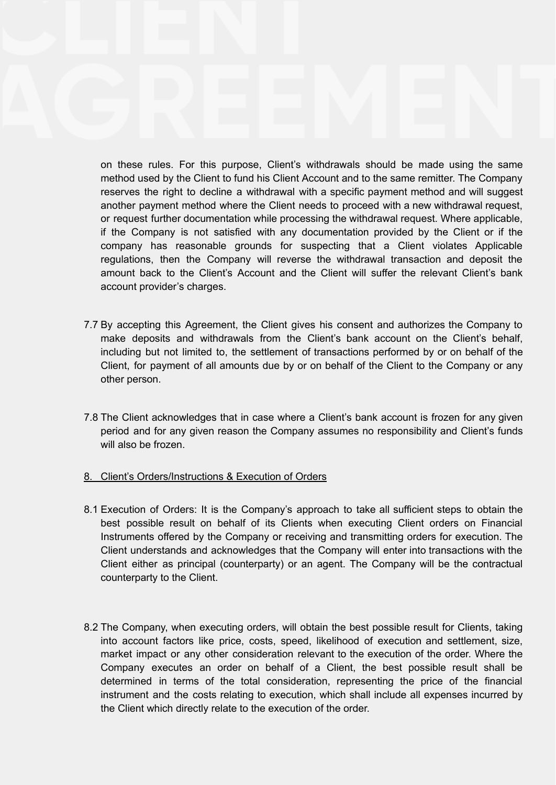on these rules. For this purpose, Client's withdrawals should be made using the same method used by the Client to fund his Client Account and to the same remitter. The Company reserves the right to decline a withdrawal with a specific payment method and will suggest another payment method where the Client needs to proceed with a new withdrawal request, or request further documentation while processing the withdrawal request. Where applicable, if the Company is not satisfied with any documentation provided by the Client or if the company has reasonable grounds for suspecting that a Client violates Applicable regulations, then the Company will reverse the withdrawal transaction and deposit the amount back to the Client's Account and the Client will suffer the relevant Client's bank account provider's charges.

- 7.7 By accepting this Agreement, the Client gives his consent and authorizes the Company to make deposits and withdrawals from the Client's bank account on the Client's behalf, including but not limited to, the settlement of transactions performed by or on behalf of the Client, for payment of all amounts due by or on behalf of the Client to the Company or any other person.
- 7.8 The Client acknowledges that in case where a Client's bank account is frozen for any given period and for any given reason the Company assumes no responsibility and Client's funds will also be frozen.

# 8. Client's Orders/Instructions & Execution of Orders

- 8.1 Execution of Orders: It is the Company's approach to take all sufficient steps to obtain the best possible result on behalf of its Clients when executing Client orders on Financial Instruments offered by the Company or receiving and transmitting orders for execution. The Client understands and acknowledges that the Company will enter into transactions with the Client either as principal (counterparty) or an agent. The Company will be the contractual counterparty to the Client.
- 8.2 The Company, when executing orders, will obtain the best possible result for Clients, taking into account factors like price, costs, speed, likelihood of execution and settlement, size, market impact or any other consideration relevant to the execution of the order. Where the Company executes an order on behalf of a Client, the best possible result shall be determined in terms of the total consideration, representing the price of the financial instrument and the costs relating to execution, which shall include all expenses incurred by the Client which directly relate to the execution of the order.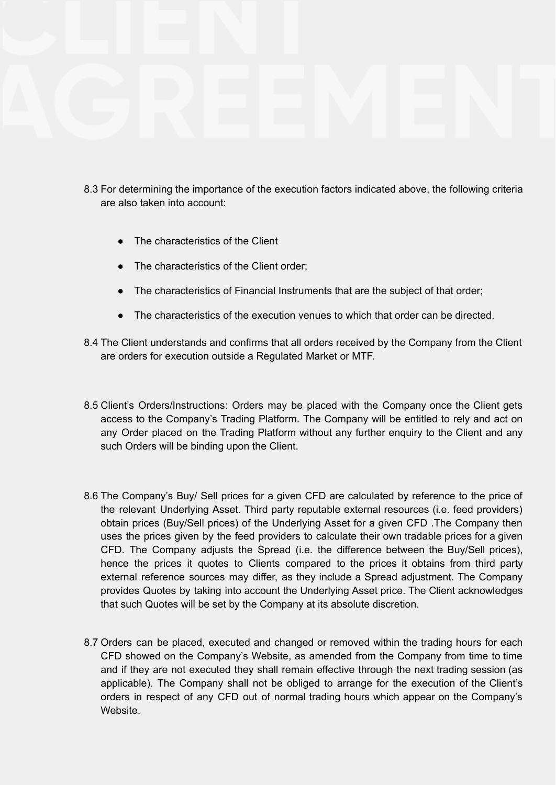- 8.3 For determining the importance of the execution factors indicated above, the following criteria are also taken into account:
	- The characteristics of the Client
	- The characteristics of the Client order;
	- The characteristics of Financial Instruments that are the subject of that order;
	- The characteristics of the execution venues to which that order can be directed.
- 8.4 The Client understands and confirms that all orders received by the Company from the Client are orders for execution outside a Regulated Market or MTF.
- 8.5 Client's Orders/Instructions: Orders may be placed with the Company once the Client gets access to the Company's Trading Platform. The Company will be entitled to rely and act on any Order placed on the Trading Platform without any further enquiry to the Client and any such Orders will be binding upon the Client.
- 8.6 The Company's Buy/ Sell prices for a given CFD are calculated by reference to the price of the relevant Underlying Asset. Third party reputable external resources (i.e. feed providers) obtain prices (Buy/Sell prices) of the Underlying Asset for a given CFD .The Company then uses the prices given by the feed providers to calculate their own tradable prices for a given CFD. The Company adjusts the Spread (i.e. the difference between the Buy/Sell prices), hence the prices it quotes to Clients compared to the prices it obtains from third party external reference sources may differ, as they include a Spread adjustment. The Company provides Quotes by taking into account the Underlying Asset price. The Client acknowledges that such Quotes will be set by the Company at its absolute discretion.
- 8.7 Orders can be placed, executed and changed or removed within the trading hours for each CFD showed on the Company's Website, as amended from the Company from time to time and if they are not executed they shall remain effective through the next trading session (as applicable). The Company shall not be obliged to arrange for the execution of the Client's orders in respect of any CFD out of normal trading hours which appear on the Company's Website.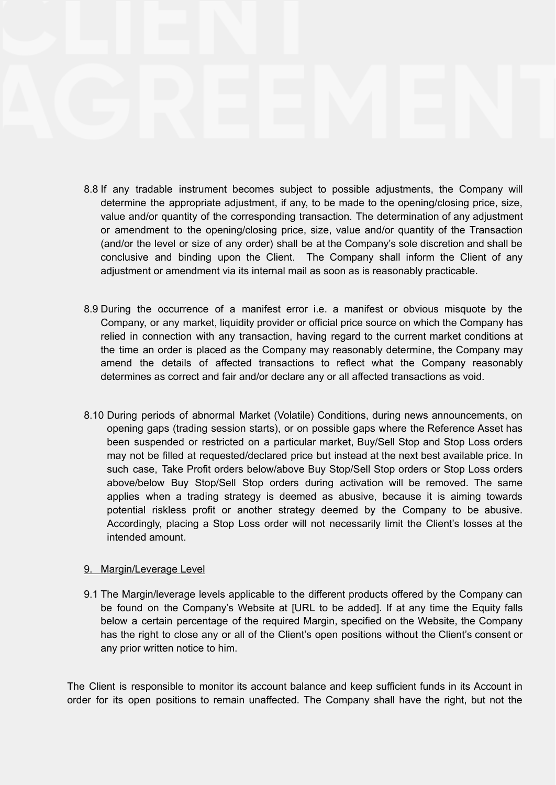- 8.8 If any tradable instrument becomes subject to possible adjustments, the Company will determine the appropriate adjustment, if any, to be made to the opening/closing price, size, value and/or quantity of the corresponding transaction. The determination of any adjustment or amendment to the opening/closing price, size, value and/or quantity of the Transaction (and/or the level or size of any order) shall be at the Company's sole discretion and shall be conclusive and binding upon the Client. The Company shall inform the Client of any adjustment or amendment via its internal mail as soon as is reasonably practicable.
- 8.9 During the occurrence of a manifest error i.e. a manifest or obvious misquote by the Company, or any market, liquidity provider or official price source on which the Company has relied in connection with any transaction, having regard to the current market conditions at the time an order is placed as the Company may reasonably determine, the Company may amend the details of affected transactions to reflect what the Company reasonably determines as correct and fair and/or declare any or all affected transactions as void.
- 8.10 During periods of abnormal Market (Volatile) Conditions, during news announcements, on opening gaps (trading session starts), or on possible gaps where the Reference Asset has been suspended or restricted on a particular market, Buy/Sell Stop and Stop Loss orders may not be filled at requested/declared price but instead at the next best available price. In such case, Take Profit orders below/above Buy Stop/Sell Stop orders or Stop Loss orders above/below Buy Stop/Sell Stop orders during activation will be removed. The same applies when a trading strategy is deemed as abusive, because it is aiming towards potential riskless profit or another strategy deemed by the Company to be abusive. Accordingly, placing a Stop Loss order will not necessarily limit the Client's losses at the intended amount.

#### 9. Margin/Leverage Level

9.1 The Margin/leverage levels applicable to the different products offered by the Company can be found on the Company's Website at [URL to be added]. If at any time the Equity falls below a certain percentage of the required Margin, specified on the Website, the Company has the right to close any or all of the Client's open positions without the Client's consent or any prior written notice to him.

The Client is responsible to monitor its account balance and keep sufficient funds in its Account in order for its open positions to remain unaffected. The Company shall have the right, but not the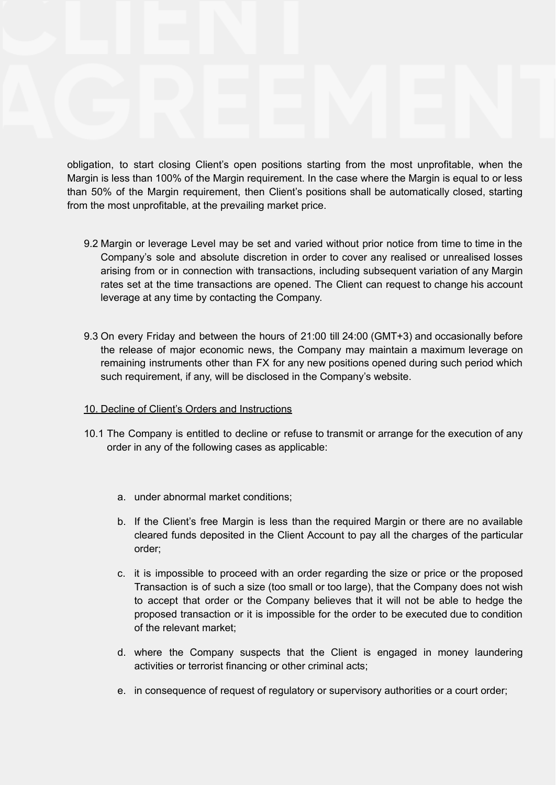obligation, to start closing Client's open positions starting from the most unprofitable, when the Margin is less than 100% of the Margin requirement. In the case where the Margin is equal to or less than 50% of the Margin requirement, then Client's positions shall be automatically closed, starting from the most unprofitable, at the prevailing market price.

- 9.2 Margin or leverage Level may be set and varied without prior notice from time to time in the Company's sole and absolute discretion in order to cover any realised or unrealised losses arising from or in connection with transactions, including subsequent variation of any Margin rates set at the time transactions are opened. The Client can request to change his account leverage at any time by contacting the Company.
- 9.3 On every Friday and between the hours of 21:00 till 24:00 (GMT+3) and occasionally before the release of major economic news, the Company may maintain a maximum leverage on remaining instruments other than FX for any new positions opened during such period which such requirement, if any, will be disclosed in the Company's website.

# 10. Decline of Client's Orders and Instructions

- 10.1 The Company is entitled to decline or refuse to transmit or arrange for the execution of any order in any of the following cases as applicable:
	- a. under abnormal market conditions;
	- b. If the Client's free Margin is less than the required Margin or there are no available cleared funds deposited in the Client Account to pay all the charges of the particular order;
	- c. it is impossible to proceed with an order regarding the size or price or the proposed Transaction is of such a size (too small or too large), that the Company does not wish to accept that order or the Company believes that it will not be able to hedge the proposed transaction or it is impossible for the order to be executed due to condition of the relevant market;
	- d. where the Company suspects that the Client is engaged in money laundering activities or terrorist financing or other criminal acts;
	- e. in consequence of request of regulatory or supervisory authorities or a court order;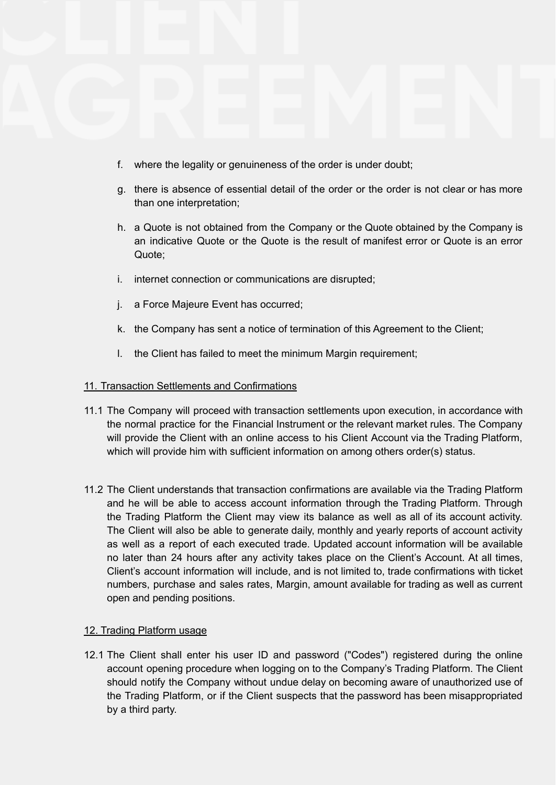- f. where the legality or genuineness of the order is under doubt;
- g. there is absence of essential detail of the order or the order is not clear or has more than one interpretation;
- h. a Quote is not obtained from the Company or the Quote obtained by the Company is an indicative Quote or the Quote is the result of manifest error or Quote is an error Quote;
- i. internet connection or communications are disrupted;
- j. a Force Majeure Event has occurred;
- k. the Company has sent a notice of termination of this Agreement to the Client;
- l. the Client has failed to meet the minimum Margin requirement;

# 11. Transaction Settlements and Confirmations

- 11.1 The Company will proceed with transaction settlements upon execution, in accordance with the normal practice for the Financial Instrument or the relevant market rules. The Company will provide the Client with an online access to his Client Account via the Trading Platform, which will provide him with sufficient information on among others order(s) status.
- 11.2 The Client understands that transaction confirmations are available via the Trading Platform and he will be able to access account information through the Trading Platform. Through the Trading Platform the Client may view its balance as well as all of its account activity. The Client will also be able to generate daily, monthly and yearly reports of account activity as well as a report of each executed trade. Updated account information will be available no later than 24 hours after any activity takes place on the Client's Account. At all times, Client's account information will include, and is not limited to, trade confirmations with ticket numbers, purchase and sales rates, Margin, amount available for trading as well as current open and pending positions.

# 12. Trading Platform usage

12.1 The Client shall enter his user ID and password ("Codes") registered during the online account opening procedure when logging on to the Company's Trading Platform. The Client should notify the Company without undue delay on becoming aware of unauthorized use of the Trading Platform, or if the Client suspects that the password has been misappropriated by a third party.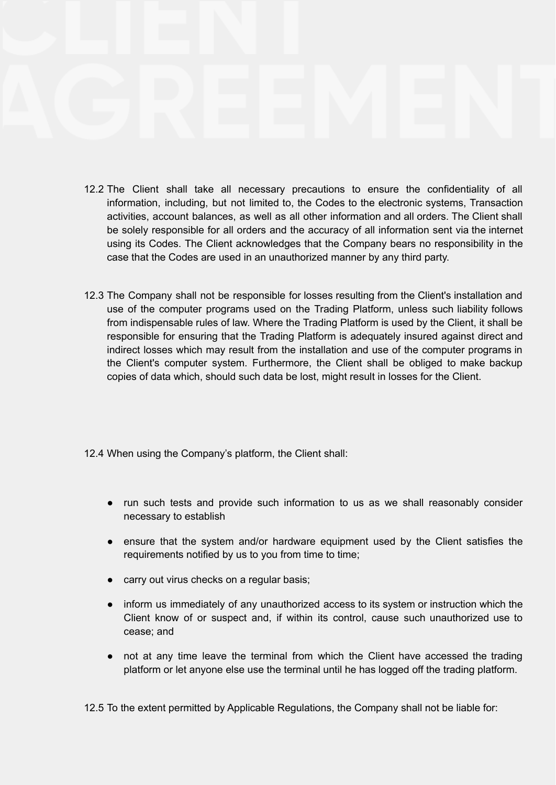- 12.2 The Client shall take all necessary precautions to ensure the confidentiality of all information, including, but not limited to, the Codes to the electronic systems, Transaction activities, account balances, as well as all other information and all orders. The Client shall be solely responsible for all orders and the accuracy of all information sent via the internet using its Codes. The Client acknowledges that the Company bears no responsibility in the case that the Codes are used in an unauthorized manner by any third party.
- 12.3 The Company shall not be responsible for losses resulting from the Client's installation and use of the computer programs used on the Trading Platform, unless such liability follows from indispensable rules of law. Where the Trading Platform is used by the Client, it shall be responsible for ensuring that the Trading Platform is adequately insured against direct and indirect losses which may result from the installation and use of the computer programs in the Client's computer system. Furthermore, the Client shall be obliged to make backup copies of data which, should such data be lost, might result in losses for the Client.
- 12.4 When using the Company's platform, the Client shall:
	- run such tests and provide such information to us as we shall reasonably consider necessary to establish
	- ensure that the system and/or hardware equipment used by the Client satisfies the requirements notified by us to you from time to time;
	- carry out virus checks on a regular basis;
	- inform us immediately of any unauthorized access to its system or instruction which the Client know of or suspect and, if within its control, cause such unauthorized use to cease; and
	- not at any time leave the terminal from which the Client have accessed the trading platform or let anyone else use the terminal until he has logged off the trading platform.

12.5 To the extent permitted by Applicable Regulations, the Company shall not be liable for: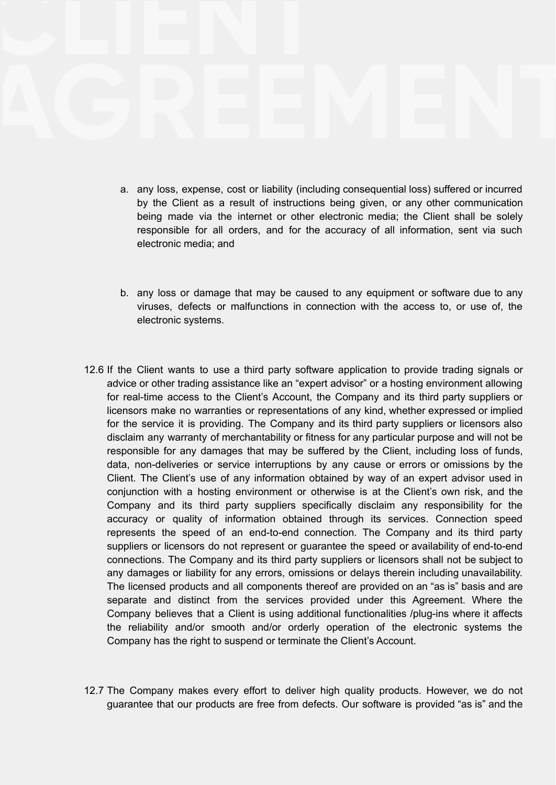- a. any loss, expense, cost or liability (including consequential loss) suffered or incurred by the Client as a result of instructions being given, or any other communication being made via the internet or other electronic media; the Client shall be solely responsible for all orders, and for the accuracy of all information, sent via such electronic media; and
- b. any loss or damage that may be caused to any equipment or software due to any viruses, defects or malfunctions in connection with the access to, or use of, the electronic systems.
- 12.6 If the Client wants to use a third party software application to provide trading signals or advice or other trading assistance like an "expert advisor" or a hosting environment allowing for real-time access to the Client's Account, the Company and its third party suppliers or licensors make no warranties or representations of any kind, whether expressed or implied for the service it is providing. The Company and its third party suppliers or licensors also disclaim any warranty of merchantability or fitness for any particular purpose and will not be responsible for any damages that may be suffered by the Client, including loss of funds, data, non-deliveries or service interruptions by any cause or errors or omissions by the Client. The Client's use of any information obtained by way of an expert advisor used in conjunction with a hosting environment or otherwise is at the Client's own risk, and the Company and its third party suppliers specifically disclaim any responsibility for the accuracy or quality of information obtained through its services. Connection speed represents the speed of an end-to-end connection. The Company and its third party suppliers or licensors do not represent or guarantee the speed or availability of end-to-end connections. The Company and its third party suppliers or licensors shall not be subject to any damages or liability for any errors, omissions or delays therein including unavailability. The licensed products and all components thereof are provided on an "as is" basis and are separate and distinct from the services provided under this Agreement. Where the Company believes that a Client is using additional functionalities /plug-ins where it affects the reliability and/or smooth and/or orderly operation of the electronic systems the Company has the right to suspend or terminate the Client's Account.
- 12.7 The Company makes every effort to deliver high quality products. However, we do not guarantee that our products are free from defects. Our software is provided "as is" and the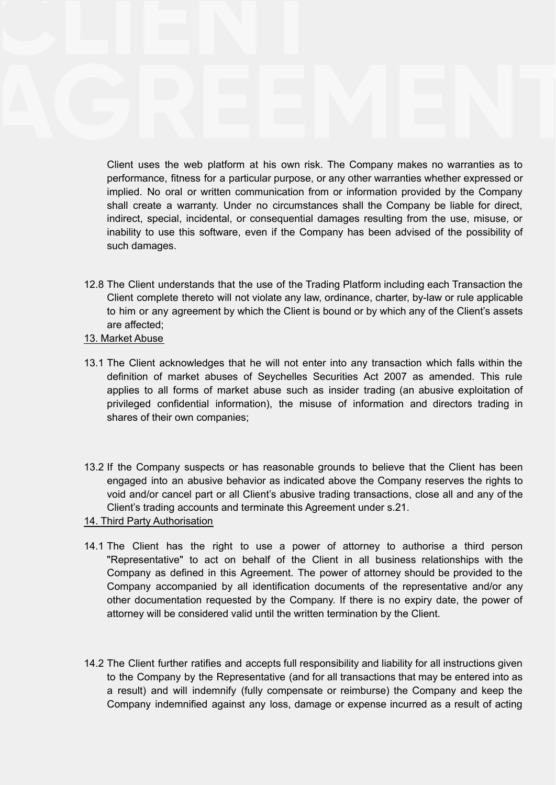Client uses the web platform at his own risk. The Company makes no warranties as to performance, fitness for a particular purpose, or any other warranties whether expressed or implied. No oral or written communication from or information provided by the Company shall create a warranty. Under no circumstances shall the Company be liable for direct, indirect, special, incidental, or consequential damages resulting from the use, misuse, or inability to use this software, even if the Company has been advised of the possibility of such damages.

- 12.8 The Client understands that the use of the Trading Platform including each Transaction the Client complete thereto will not violate any law, ordinance, charter, by-law or rule applicable to him or any agreement by which the Client is bound or by which any of the Client's assets are affected;
- 13. Market Abuse
- 13.1 The Client acknowledges that he will not enter into any transaction which falls within the definition of market abuses of Seychelles Securities Act 2007 as amended. This rule applies to all forms of market abuse such as insider trading (an abusive exploitation of privileged confidential information), the misuse of information and directors trading in shares of their own companies;
- 13.2 If the Company suspects or has reasonable grounds to believe that the Client has been engaged into an abusive behavior as indicated above the Company reserves the rights to void and/or cancel part or all Client's abusive trading transactions, close all and any of the Client's trading accounts and terminate this Agreement under s.21.
- 14. Third Party Authorisation
- 14.1 The Client has the right to use a power of attorney to authorise a third person "Representative" to act on behalf of the Client in all business relationships with the Company as defined in this Agreement. The power of attorney should be provided to the Company accompanied by all identification documents of the representative and/or any other documentation requested by the Company. If there is no expiry date, the power of attorney will be considered valid until the written termination by the Client.
- 14.2 The Client further ratifies and accepts full responsibility and liability for all instructions given to the Company by the Representative (and for all transactions that may be entered into as a result) and will indemnify (fully compensate or reimburse) the Company and keep the Company indemnified against any loss, damage or expense incurred as a result of acting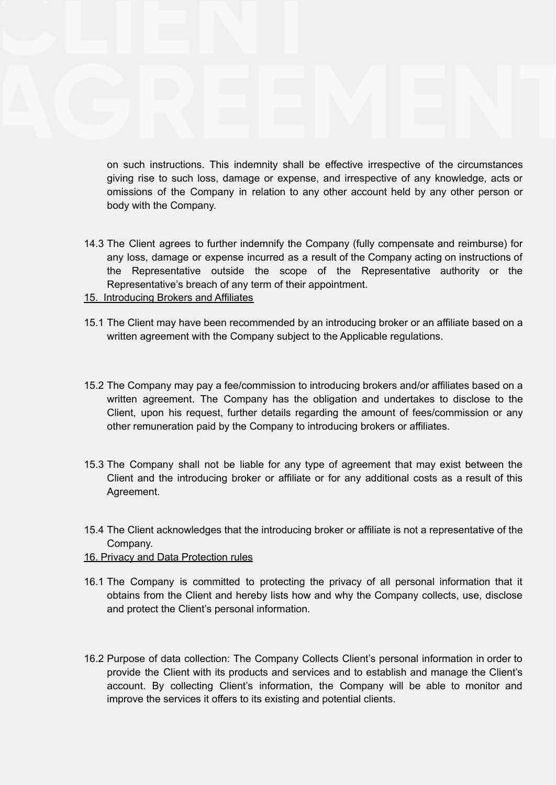on such instructions. This indemnity shall be effective irrespective of the circumstances giving rise to such loss, damage or expense, and irrespective of any knowledge, acts or omissions of the Company in relation to any other account held by any other person or body with the Company.

- 14.3 The Client agrees to further indemnify the Company (fully compensate and reimburse) for any loss, damage or expense incurred as a result of the Company acting on instructions of the Representative outside the scope of the Representative authority or the Representative's breach of any term of their appointment.
- 15. Introducing Brokers and Affiliates
- 15.1 The Client may have been recommended by an introducing broker or an affiliate based on a written agreement with the Company subject to the Applicable regulations.
- 15.2 The Company may pay a fee/commission to introducing brokers and/or affiliates based on a written agreement. The Company has the obligation and undertakes to disclose to the Client, upon his request, further details regarding the amount of fees/commission or any other remuneration paid by the Company to introducing brokers or affiliates.
- 15.3 The Company shall not be liable for any type of agreement that may exist between the Client and the introducing broker or affiliate or for any additional costs as a result of this Agreement.
- 15.4 The Client acknowledges that the introducing broker or affiliate is not a representative of the Company.
- 16. Privacy and Data Protection rules
- 16.1 The Company is committed to protecting the privacy of all personal information that it obtains from the Client and hereby lists how and why the Company collects, use, disclose and protect the Client's personal information.
- 16.2 Purpose of data collection: The Company Collects Client's personal information in order to provide the Client with its products and services and to establish and manage the Client's account. By collecting Client's information, the Company will be able to monitor and improve the services it offers to its existing and potential clients.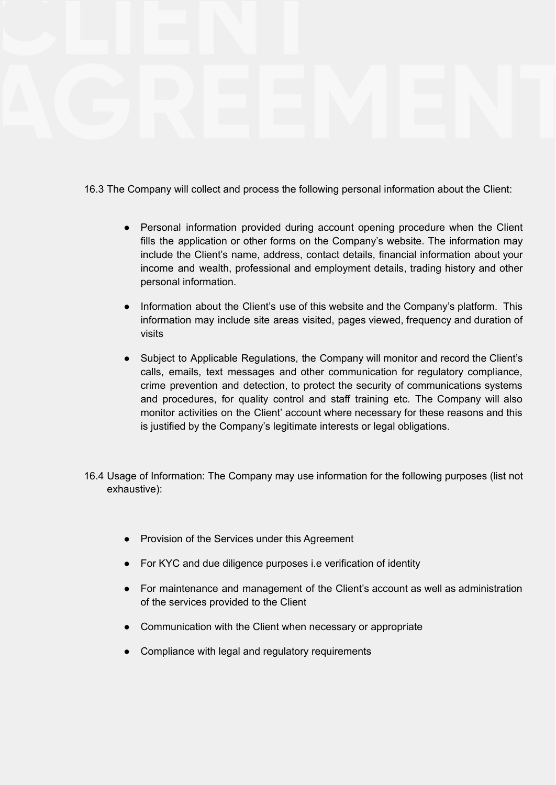16.3 The Company will collect and process the following personal information about the Client:

- Personal information provided during account opening procedure when the Client fills the application or other forms on the Company's website. The information may include the Client's name, address, contact details, financial information about your income and wealth, professional and employment details, trading history and other personal information.
- Information about the Client's use of this website and the Company's platform. This information may include site areas visited, pages viewed, frequency and duration of visits
- Subject to Applicable Regulations, the Company will monitor and record the Client's calls, emails, text messages and other communication for regulatory compliance, crime prevention and detection, to protect the security of communications systems and procedures, for quality control and staff training etc. The Company will also monitor activities on the Client' account where necessary for these reasons and this is justified by the Company's legitimate interests or legal obligations.
- 16.4 Usage of Information: The Company may use information for the following purposes (list not exhaustive):
	- Provision of the Services under this Agreement
	- For KYC and due diligence purposes i.e verification of identity
	- For maintenance and management of the Client's account as well as administration of the services provided to the Client
	- Communication with the Client when necessary or appropriate
	- Compliance with legal and regulatory requirements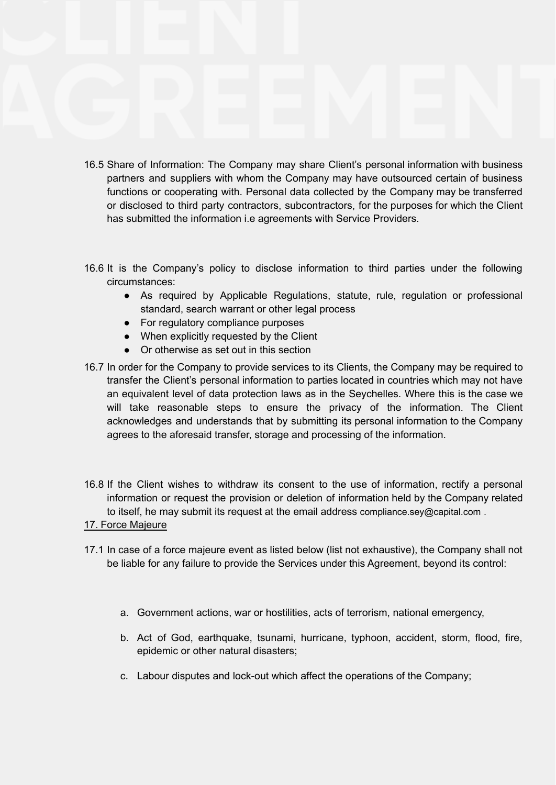- 16.5 Share of Information: The Company may share Client's personal information with business partners and suppliers with whom the Company may have outsourced certain of business functions or cooperating with. Personal data collected by the Company may be transferred or disclosed to third party contractors, subcontractors, for the purposes for which the Client has submitted the information i.e agreements with Service Providers.
- 16.6 It is the Company's policy to disclose information to third parties under the following circumstances:
	- As required by Applicable Regulations, statute, rule, regulation or professional standard, search warrant or other legal process
	- For regulatory compliance purposes
	- When explicitly requested by the Client
	- Or otherwise as set out in this section
- 16.7 In order for the Company to provide services to its Clients, the Company may be required to transfer the Client's personal information to parties located in countries which may not have an equivalent level of data protection laws as in the Seychelles. Where this is the case we will take reasonable steps to ensure the privacy of the information. The Client acknowledges and understands that by submitting its personal information to the Company agrees to the aforesaid transfer, storage and processing of the information.
- 16.8 If the Client wishes to withdraw its consent to the use of information, rectify a personal information or request the provision or deletion of information held by the Company related to itself, he may submit its request at the email address [compliance.sey@capital.com](mailto:compliance.sey@capital.com) .

# 17. Force Majeure

- 17.1 In case of a force majeure event as listed below (list not exhaustive), the Company shall not be liable for any failure to provide the Services under this Agreement, beyond its control:
	- a. Government actions, war or hostilities, acts of terrorism, national emergency,
	- b. Act of God, earthquake, tsunami, hurricane, typhoon, accident, storm, flood, fire, epidemic or other natural disasters;
	- c. Labour disputes and lock-out which affect the operations of the Company;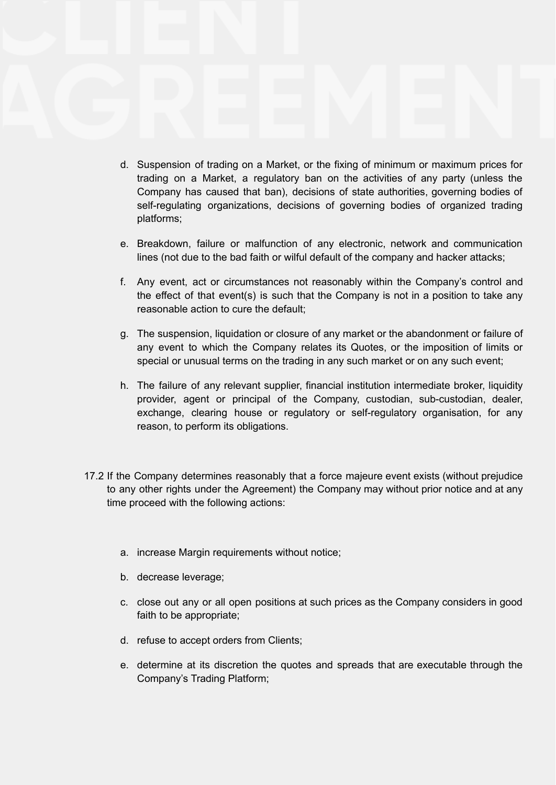- d. Suspension of trading on a Market, or the fixing of minimum or maximum prices for trading on a Market, a regulatory ban on the activities of any party (unless the Company has caused that ban), decisions of state authorities, governing bodies of self-regulating organizations, decisions of governing bodies of organized trading platforms;
- e. Breakdown, failure or malfunction of any electronic, network and communication lines (not due to the bad faith or wilful default of the company and hacker attacks;
- f. Any event, act or circumstances not reasonably within the Company's control and the effect of that event(s) is such that the Company is not in a position to take any reasonable action to cure the default;
- g. The suspension, liquidation or closure of any market or the abandonment or failure of any event to which the Company relates its Quotes, or the imposition of limits or special or unusual terms on the trading in any such market or on any such event;
- h. The failure of any relevant supplier, financial institution intermediate broker, liquidity provider, agent or principal of the Company, custodian, sub-custodian, dealer, exchange, clearing house or regulatory or self-regulatory organisation, for any reason, to perform its obligations.
- 17.2 If the Company determines reasonably that a force majeure event exists (without prejudice to any other rights under the Agreement) the Company may without prior notice and at any time proceed with the following actions:
	- a. increase Margin requirements without notice;
	- b. decrease leverage;
	- c. close out any or all open positions at such prices as the Company considers in good faith to be appropriate;
	- d. refuse to accept orders from Clients;
	- e. determine at its discretion the quotes and spreads that are executable through the Company's Trading Platform;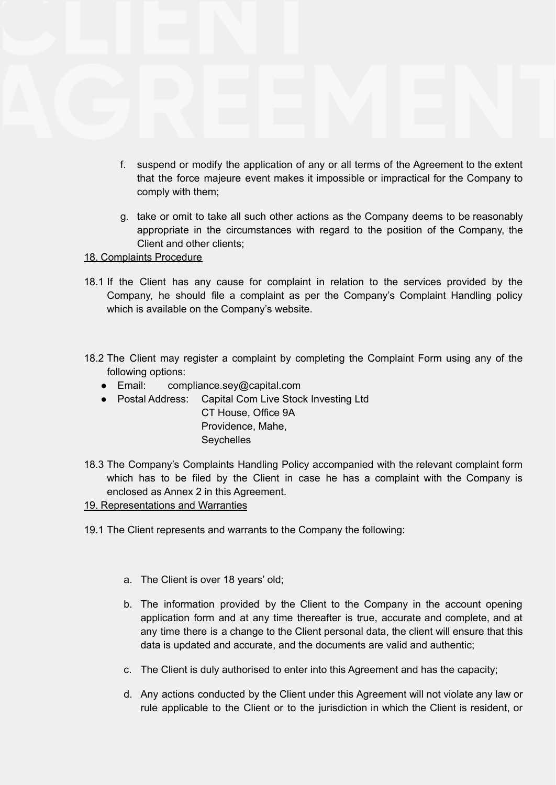- f. suspend or modify the application of any or all terms of the Agreement to the extent that the force majeure event makes it impossible or impractical for the Company to comply with them;
- g. take or omit to take all such other actions as the Company deems to be reasonably appropriate in the circumstances with regard to the position of the Company, the Client and other clients;

# 18. Complaints Procedure

- 18.1 If the Client has any cause for complaint in relation to the services provided by the Company, he should file a complaint as per the Company's Complaint Handling policy which is available on the Company's website.
- 18.2 The Client may register a complaint by completing the Complaint Form using any of the following options:
	- Email: compliance.sey@capital.com
	- Postal Address: Capital Com Live Stock Investing Ltd

CT House, Office 9A Providence, Mahe, **Seychelles** 

18.3 The Company's Complaints Handling Policy accompanied with the relevant complaint form which has to be filed by the Client in case he has a complaint with the Company is enclosed as Annex 2 in this Agreement.

# 19. Representations and Warranties

- 19.1 The Client represents and warrants to the Company the following:
	- a. The Client is over 18 years' old;
	- b. The information provided by the Client to the Company in the account opening application form and at any time thereafter is true, accurate and complete, and at any time there is a change to the Client personal data, the client will ensure that this data is updated and accurate, and the documents are valid and authentic;
	- c. The Client is duly authorised to enter into this Agreement and has the capacity;
	- d. Any actions conducted by the Client under this Agreement will not violate any law or rule applicable to the Client or to the jurisdiction in which the Client is resident, or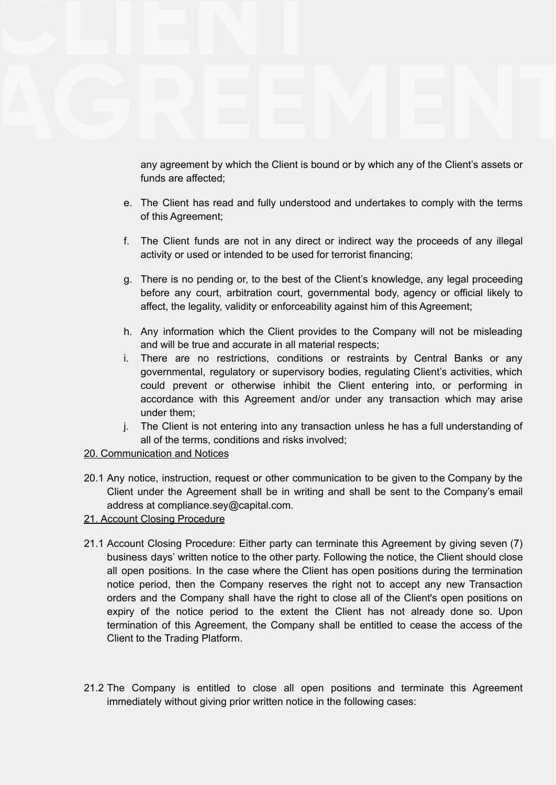any agreement by which the Client is bound or by which any of the Client's assets or funds are affected;

- e. The Client has read and fully understood and undertakes to comply with the terms of this Agreement;
- f. The Client funds are not in any direct or indirect way the proceeds of any illegal activity or used or intended to be used for terrorist financing;
- g. There is no pending or, to the best of the Client's knowledge, any legal proceeding before any court, arbitration court, governmental body, agency or official likely to affect, the legality, validity or enforceability against him of this Agreement;
- h. Any information which the Client provides to the Company will not be misleading and will be true and accurate in all material respects;
- i. There are no restrictions, conditions or restraints by Central Banks or any governmental, regulatory or supervisory bodies, regulating Client's activities, which could prevent or otherwise inhibit the Client entering into, or performing in accordance with this Agreement and/or under any transaction which may arise under them;
- j. The Client is not entering into any transaction unless he has a full understanding of all of the terms, conditions and risks involved;

# 20. Communication and Notices

- 20.1 Any notice, instruction, request or other communication to be given to the Company by the Client under the Agreement shall be in writing and shall be sent to the Company's email address at compliance.sey@capital.com.
- 21. Account Closing Procedure
- 21.1 Account Closing Procedure: Either party can terminate this Agreement by giving seven (7) business days' written notice to the other party. Following the notice, the Client should close all open positions. In the case where the Client has open positions during the termination notice period, then the Company reserves the right not to accept any new Transaction orders and the Company shall have the right to close all of the Client's open positions on expiry of the notice period to the extent the Client has not already done so. Upon termination of this Agreement, the Company shall be entitled to cease the access of the Client to the Trading Platform.
- 21.2 The Company is entitled to close all open positions and terminate this Agreement immediately without giving prior written notice in the following cases: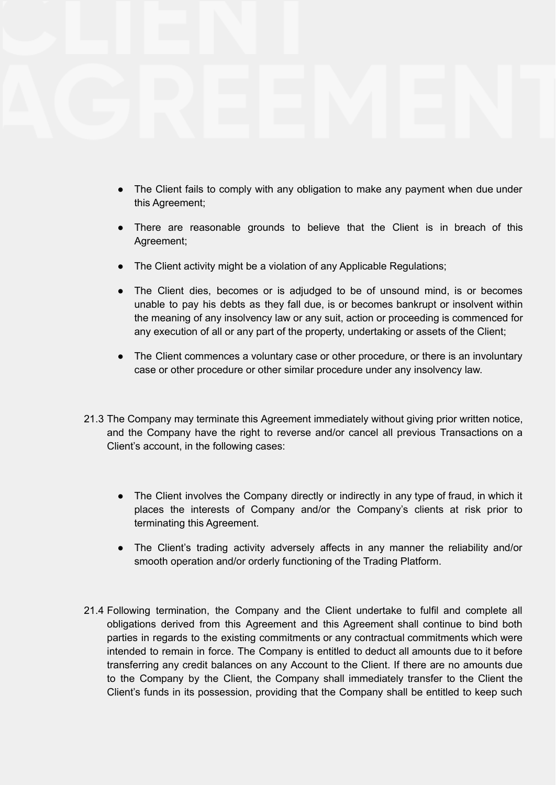- The Client fails to comply with any obligation to make any payment when due under this Agreement;
- There are reasonable grounds to believe that the Client is in breach of this Agreement;
- The Client activity might be a violation of any Applicable Regulations;
- The Client dies, becomes or is adjudged to be of unsound mind, is or becomes unable to pay his debts as they fall due, is or becomes bankrupt or insolvent within the meaning of any insolvency law or any suit, action or proceeding is commenced for any execution of all or any part of the property, undertaking or assets of the Client;
- The Client commences a voluntary case or other procedure, or there is an involuntary case or other procedure or other similar procedure under any insolvency law.
- 21.3 The Company may terminate this Agreement immediately without giving prior written notice, and the Company have the right to reverse and/or cancel all previous Transactions on a Client's account, in the following cases:
	- The Client involves the Company directly or indirectly in any type of fraud, in which it places the interests of Company and/or the Company's clients at risk prior to terminating this Agreement.
	- The Client's trading activity adversely affects in any manner the reliability and/or smooth operation and/or orderly functioning of the Trading Platform.
- 21.4 Following termination, the Company and the Client undertake to fulfil and complete all obligations derived from this Agreement and this Agreement shall continue to bind both parties in regards to the existing commitments or any contractual commitments which were intended to remain in force. The Company is entitled to deduct all amounts due to it before transferring any credit balances on any Account to the Client. If there are no amounts due to the Company by the Client, the Company shall immediately transfer to the Client the Client's funds in its possession, providing that the Company shall be entitled to keep such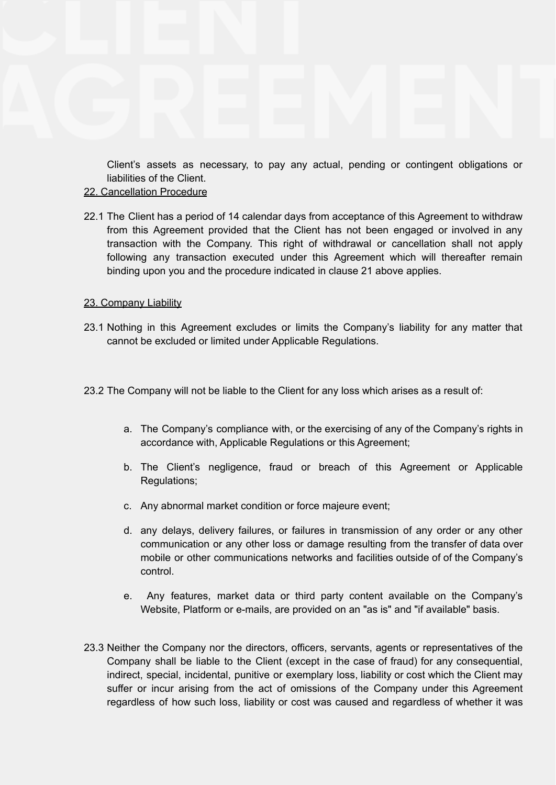Client's assets as necessary, to pay any actual, pending or contingent obligations or liabilities of the Client.

#### 22. Cancellation Procedure

22.1 The Client has a period of 14 calendar days from acceptance of this Agreement to withdraw from this Agreement provided that the Client has not been engaged or involved in any transaction with the Company. This right of withdrawal or cancellation shall not apply following any transaction executed under this Agreement which will thereafter remain binding upon you and the procedure indicated in clause 21 above applies.

### 23. Company Liability

- 23.1 Nothing in this Agreement excludes or limits the Company's liability for any matter that cannot be excluded or limited under Applicable Regulations.
- 23.2 The Company will not be liable to the Client for any loss which arises as a result of:
	- a. The Company's compliance with, or the exercising of any of the Company's rights in accordance with, Applicable Regulations or this Agreement;
	- b. The Client's negligence, fraud or breach of this Agreement or Applicable Regulations;
	- c. Any abnormal market condition or force majeure event;
	- d. any delays, delivery failures, or failures in transmission of any order or any other communication or any other loss or damage resulting from the transfer of data over mobile or other communications networks and facilities outside of of the Company's control.
	- e. Any features, market data or third party content available on the Company's Website, Platform or e-mails, are provided on an "as is" and "if available" basis.
- 23.3 Neither the Company nor the directors, officers, servants, agents or representatives of the Company shall be liable to the Client (except in the case of fraud) for any consequential, indirect, special, incidental, punitive or exemplary loss, liability or cost which the Client may suffer or incur arising from the act of omissions of the Company under this Agreement regardless of how such loss, liability or cost was caused and regardless of whether it was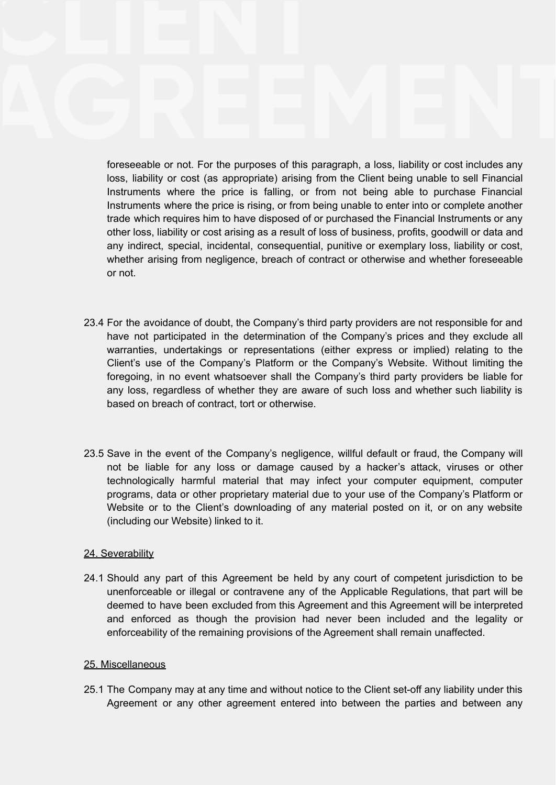foreseeable or not. For the purposes of this paragraph, a loss, liability or cost includes any loss, liability or cost (as appropriate) arising from the Client being unable to sell Financial Instruments where the price is falling, or from not being able to purchase Financial Instruments where the price is rising, or from being unable to enter into or complete another trade which requires him to have disposed of or purchased the Financial Instruments or any other loss, liability or cost arising as a result of loss of business, profits, goodwill or data and any indirect, special, incidental, consequential, punitive or exemplary loss, liability or cost, whether arising from negligence, breach of contract or otherwise and whether foreseeable or not.

- 23.4 For the avoidance of doubt, the Company's third party providers are not responsible for and have not participated in the determination of the Company's prices and they exclude all warranties, undertakings or representations (either express or implied) relating to the Client's use of the Company's Platform or the Company's Website. Without limiting the foregoing, in no event whatsoever shall the Company's third party providers be liable for any loss, regardless of whether they are aware of such loss and whether such liability is based on breach of contract, tort or otherwise.
- 23.5 Save in the event of the Company's negligence, willful default or fraud, the Company will not be liable for any loss or damage caused by a hacker's attack, viruses or other technologically harmful material that may infect your computer equipment, computer programs, data or other proprietary material due to your use of the Company's Platform or Website or to the Client's downloading of any material posted on it, or on any website (including our Website) linked to it.

# 24. Severability

24.1 Should any part of this Agreement be held by any court of competent jurisdiction to be unenforceable or illegal or contravene any of the Applicable Regulations, that part will be deemed to have been excluded from this Agreement and this Agreement will be interpreted and enforced as though the provision had never been included and the legality or enforceability of the remaining provisions of the Agreement shall remain unaffected.

#### 25. Miscellaneous

25.1 The Company may at any time and without notice to the Client set-off any liability under this Agreement or any other agreement entered into between the parties and between any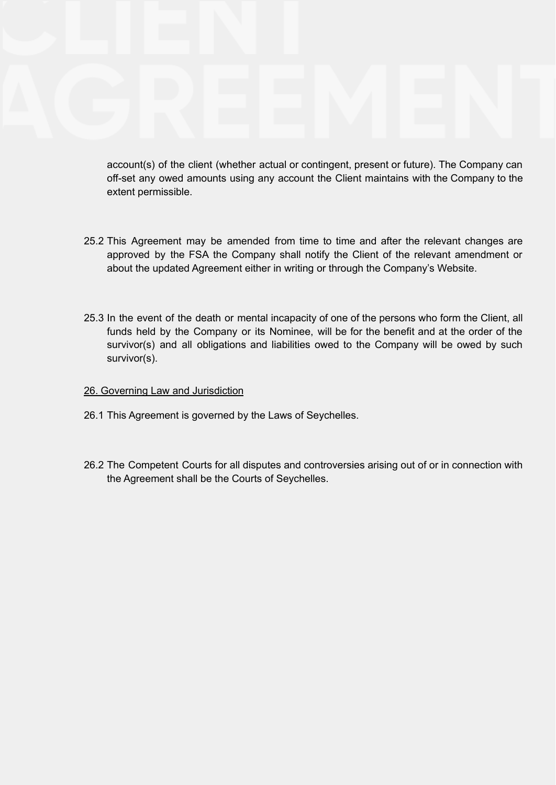account(s) of the client (whether actual or contingent, present or future). The Company can off-set any owed amounts using any account the Client maintains with the Company to the extent permissible.

- 25.2 This Agreement may be amended from time to time and after the relevant changes are approved by the FSA the Company shall notify the Client of the relevant amendment or about the updated Agreement either in writing or through the Company's Website.
- 25.3 In the event of the death or mental incapacity of one of the persons who form the Client, all funds held by the Company or its Nominee, will be for the benefit and at the order of the survivor(s) and all obligations and liabilities owed to the Company will be owed by such survivor(s).

#### 26. Governing Law and Jurisdiction

- 26.1 This Agreement is governed by the Laws of Seychelles.
- 26.2 The Competent Courts for all disputes and controversies arising out of or in connection with the Agreement shall be the Courts of Seychelles.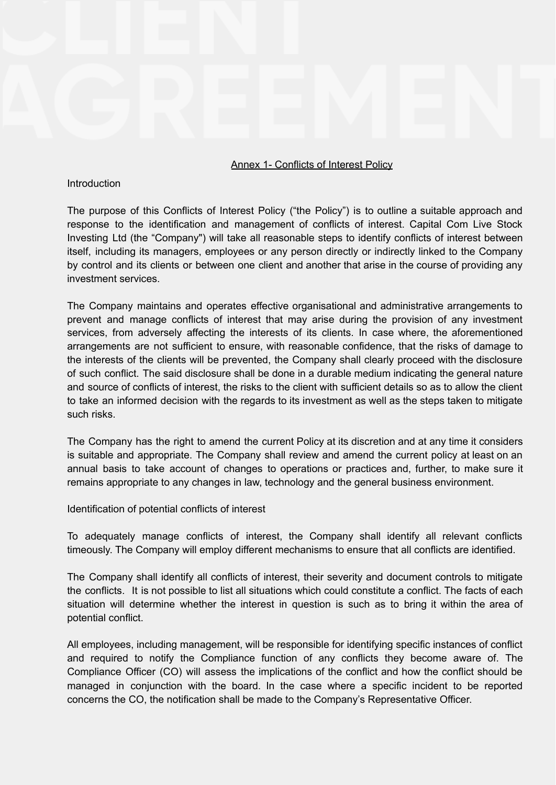#### Annex 1- Conflicts of Interest Policy

#### Introduction

The purpose of this Conflicts of Interest Policy ("the Policy") is to outline a suitable approach and response to the identification and management of conflicts of interest. Capital Com Live Stock Investing Ltd (the "Company") will take all reasonable steps to identify conflicts of interest between itself, including its managers, employees or any person directly or indirectly linked to the Company by control and its clients or between one client and another that arise in the course of providing any investment services.

The Company maintains and operates effective organisational and administrative arrangements to prevent and manage conflicts of interest that may arise during the provision of any investment services, from adversely affecting the interests of its clients. In case where, the aforementioned arrangements are not sufficient to ensure, with reasonable confidence, that the risks of damage to the interests of the clients will be prevented, the Company shall clearly proceed with the disclosure of such conflict. The said disclosure shall be done in a durable medium indicating the general nature and source of conflicts of interest, the risks to the client with sufficient details so as to allow the client to take an informed decision with the regards to its investment as well as the steps taken to mitigate such risks.

The Company has the right to amend the current Policy at its discretion and at any time it considers is suitable and appropriate. The Company shall review and amend the current policy at least on an annual basis to take account of changes to operations or practices and, further, to make sure it remains appropriate to any changes in law, technology and the general business environment.

Identification of potential conflicts of interest

To adequately manage conflicts of interest, the Company shall identify all relevant conflicts timeously. The Company will employ different mechanisms to ensure that all conflicts are identified.

The Company shall identify all conflicts of interest, their severity and document controls to mitigate the conflicts. It is not possible to list all situations which could constitute a conflict. The facts of each situation will determine whether the interest in question is such as to bring it within the area of potential conflict.

All employees, including management, will be responsible for identifying specific instances of conflict and required to notify the Compliance function of any conflicts they become aware of. The Compliance Officer (CO) will assess the implications of the conflict and how the conflict should be managed in conjunction with the board. In the case where a specific incident to be reported concerns the CO, the notification shall be made to the Company's Representative Officer.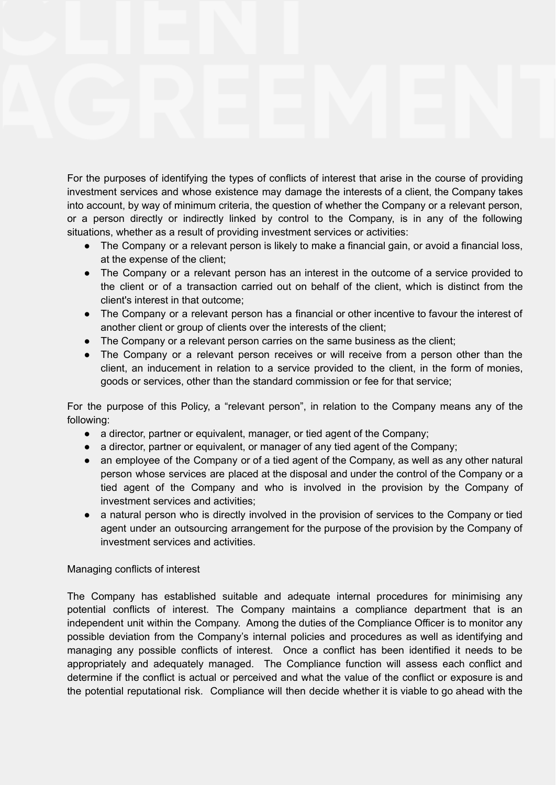For the purposes of identifying the types of conflicts of interest that arise in the course of providing investment services and whose existence may damage the interests of a client, the Company takes into account, by way of minimum criteria, the question of whether the Company or a relevant person, or a person directly or indirectly linked by control to the Company, is in any of the following situations, whether as a result of providing investment services or activities:

- The Company or a relevant person is likely to make a financial gain, or avoid a financial loss, at the expense of the client;
- The Company or a relevant person has an interest in the outcome of a service provided to the client or of a transaction carried out on behalf of the client, which is distinct from the client's interest in that outcome;
- The Company or a relevant person has a financial or other incentive to favour the interest of another client or group of clients over the interests of the client:
- The Company or a relevant person carries on the same business as the client;
- The Company or a relevant person receives or will receive from a person other than the client, an inducement in relation to a service provided to the client, in the form of monies, goods or services, other than the standard commission or fee for that service;

For the purpose of this Policy, a "relevant person", in relation to the Company means any of the following:

- a director, partner or equivalent, manager, or tied agent of the Company;
- a director, partner or equivalent, or manager of any tied agent of the Company;
- an employee of the Company or of a tied agent of the Company, as well as any other natural person whose services are placed at the disposal and under the control of the Company or a tied agent of the Company and who is involved in the provision by the Company of investment services and activities;
- a natural person who is directly involved in the provision of services to the Company or tied agent under an outsourcing arrangement for the purpose of the provision by the Company of investment services and activities.

# Managing conflicts of interest

The Company has established suitable and adequate internal procedures for minimising any potential conflicts of interest. The Company maintains a compliance department that is an independent unit within the Company. Among the duties of the Compliance Officer is to monitor any possible deviation from the Company's internal policies and procedures as well as identifying and managing any possible conflicts of interest. Once a conflict has been identified it needs to be appropriately and adequately managed. The Compliance function will assess each conflict and determine if the conflict is actual or perceived and what the value of the conflict or exposure is and the potential reputational risk. Compliance will then decide whether it is viable to go ahead with the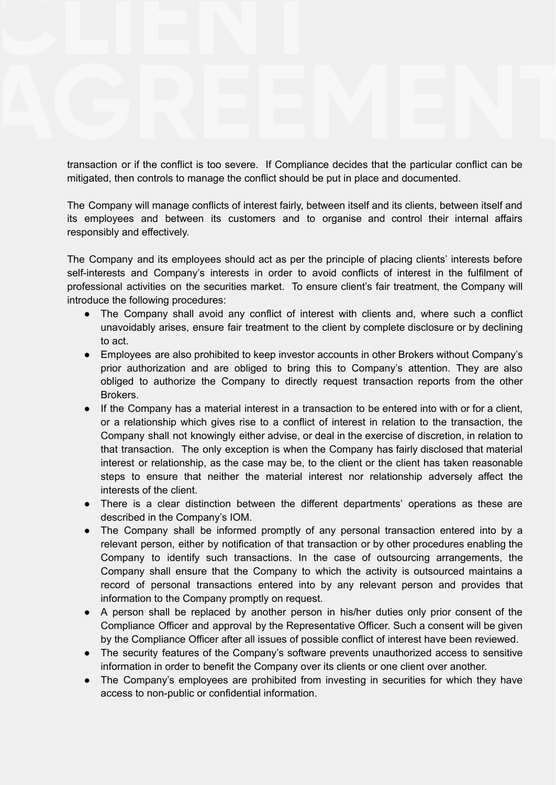transaction or if the conflict is too severe. If Compliance decides that the particular conflict can be mitigated, then controls to manage the conflict should be put in place and documented.

The Company will manage conflicts of interest fairly, between itself and its clients, between itself and its employees and between its customers and to organise and control their internal affairs responsibly and effectively.

The Company and its employees should act as per the principle of placing clients' interests before self-interests and Company's interests in order to avoid conflicts of interest in the fulfilment of professional activities on the securities market. To ensure client's fair treatment, the Company will introduce the following procedures:

- The Company shall avoid any conflict of interest with clients and, where such a conflict unavoidably arises, ensure fair treatment to the client by complete disclosure or by declining to act.
- Employees are also prohibited to keep investor accounts in other Brokers without Company's prior authorization and are obliged to bring this to Company's attention. They are also obliged to authorize the Company to directly request transaction reports from the other Brokers.
- If the Company has a material interest in a transaction to be entered into with or for a client, or a relationship which gives rise to a conflict of interest in relation to the transaction, the Company shall not knowingly either advise, or deal in the exercise of discretion, in relation to that transaction. The only exception is when the Company has fairly disclosed that material interest or relationship, as the case may be, to the client or the client has taken reasonable steps to ensure that neither the material interest nor relationship adversely affect the interests of the client.
- There is a clear distinction between the different departments' operations as these are described in the Company's IOM.
- The Company shall be informed promptly of any personal transaction entered into by a relevant person, either by notification of that transaction or by other procedures enabling the Company to identify such transactions. In the case of outsourcing arrangements, the Company shall ensure that the Company to which the activity is outsourced maintains a record of personal transactions entered into by any relevant person and provides that information to the Company promptly on request.
- A person shall be replaced by another person in his/her duties only prior consent of the Compliance Officer and approval by the Representative Officer. Such a consent will be given by the Compliance Officer after all issues of possible conflict of interest have been reviewed.
- The security features of the Company's software prevents unauthorized access to sensitive information in order to benefit the Company over its clients or one client over another.
- The Company's employees are prohibited from investing in securities for which they have access to non-public or confidential information.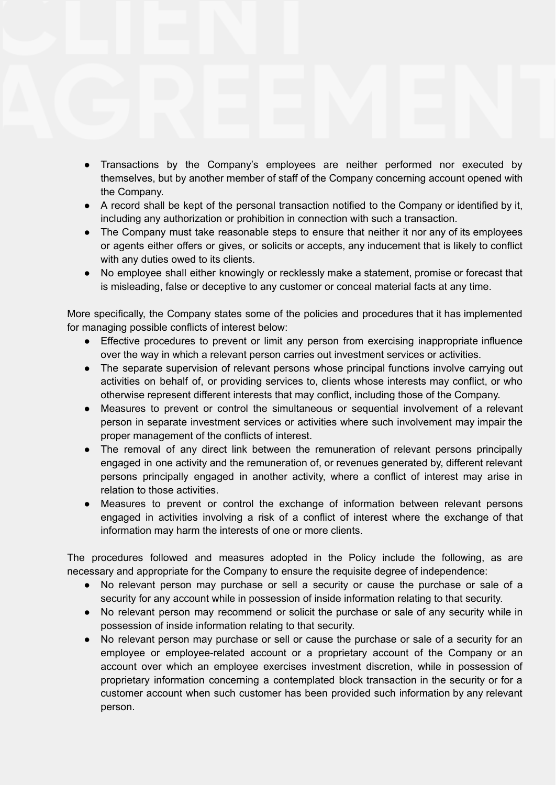- Transactions by the Company's employees are neither performed nor executed by themselves, but by another member of staff of the Company concerning account opened with the Company.
- A record shall be kept of the personal transaction notified to the Company or identified by it, including any authorization or prohibition in connection with such a transaction.
- The Company must take reasonable steps to ensure that neither it nor any of its employees or agents either offers or gives, or solicits or accepts, any inducement that is likely to conflict with any duties owed to its clients.
- No employee shall either knowingly or recklessly make a statement, promise or forecast that is misleading, false or deceptive to any customer or conceal material facts at any time.

More specifically, the Company states some of the policies and procedures that it has implemented for managing possible conflicts of interest below:

- Effective procedures to prevent or limit any person from exercising inappropriate influence over the way in which a relevant person carries out investment services or activities.
- The separate supervision of relevant persons whose principal functions involve carrying out activities on behalf of, or providing services to, clients whose interests may conflict, or who otherwise represent different interests that may conflict, including those of the Company.
- Measures to prevent or control the simultaneous or sequential involvement of a relevant person in separate investment services or activities where such involvement may impair the proper management of the conflicts of interest.
- The removal of any direct link between the remuneration of relevant persons principally engaged in one activity and the remuneration of, or revenues generated by, different relevant persons principally engaged in another activity, where a conflict of interest may arise in relation to those activities.
- Measures to prevent or control the exchange of information between relevant persons engaged in activities involving a risk of a conflict of interest where the exchange of that information may harm the interests of one or more clients.

The procedures followed and measures adopted in the Policy include the following, as are necessary and appropriate for the Company to ensure the requisite degree of independence:

- No relevant person may purchase or sell a security or cause the purchase or sale of a security for any account while in possession of inside information relating to that security.
- No relevant person may recommend or solicit the purchase or sale of any security while in possession of inside information relating to that security.
- No relevant person may purchase or sell or cause the purchase or sale of a security for an employee or employee-related account or a proprietary account of the Company or an account over which an employee exercises investment discretion, while in possession of proprietary information concerning a contemplated block transaction in the security or for a customer account when such customer has been provided such information by any relevant person.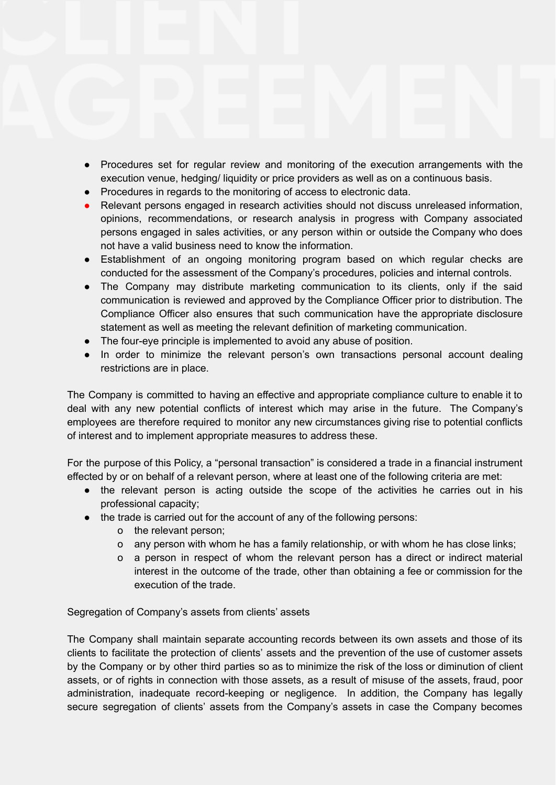- Procedures set for regular review and monitoring of the execution arrangements with the execution venue, hedging/ liquidity or price providers as well as on a continuous basis.
- Procedures in regards to the monitoring of access to electronic data.
- Relevant persons engaged in research activities should not discuss unreleased information, opinions, recommendations, or research analysis in progress with Company associated persons engaged in sales activities, or any person within or outside the Company who does not have a valid business need to know the information.
- Establishment of an ongoing monitoring program based on which regular checks are conducted for the assessment of the Company's procedures, policies and internal controls.
- The Company may distribute marketing communication to its clients, only if the said communication is reviewed and approved by the Compliance Officer prior to distribution. The Compliance Officer also ensures that such communication have the appropriate disclosure statement as well as meeting the relevant definition of marketing communication.
- The four-eye principle is implemented to avoid any abuse of position.
- In order to minimize the relevant person's own transactions personal account dealing restrictions are in place.

The Company is committed to having an effective and appropriate compliance culture to enable it to deal with any new potential conflicts of interest which may arise in the future. The Company's employees are therefore required to monitor any new circumstances giving rise to potential conflicts of interest and to implement appropriate measures to address these.

For the purpose of this Policy, a "personal transaction" is considered a trade in a financial instrument effected by or on behalf of a relevant person, where at least one of the following criteria are met:

- the relevant person is acting outside the scope of the activities he carries out in his professional capacity;
- the trade is carried out for the account of any of the following persons:
	- o the relevant person;
	- o any person with whom he has a family relationship, or with whom he has close links;
	- o a person in respect of whom the relevant person has a direct or indirect material interest in the outcome of the trade, other than obtaining a fee or commission for the execution of the trade.

Segregation of Company's assets from clients' assets

The Company shall maintain separate accounting records between its own assets and those of its clients to facilitate the protection of clients' assets and the prevention of the use of customer assets by the Company or by other third parties so as to minimize the risk of the loss or diminution of client assets, or of rights in connection with those assets, as a result of misuse of the assets, fraud, poor administration, inadequate record-keeping or negligence. In addition, the Company has legally secure segregation of clients' assets from the Company's assets in case the Company becomes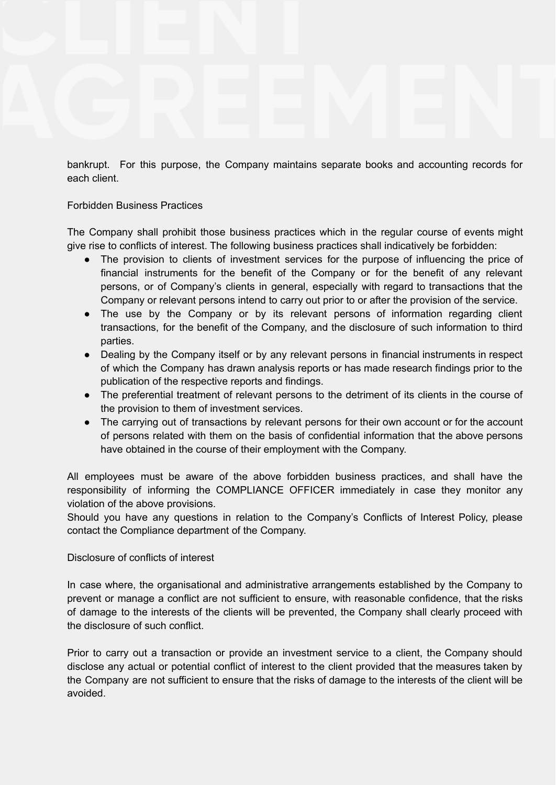bankrupt. For this purpose, the Company maintains separate books and accounting records for each client.

# Forbidden Business Practices

The Company shall prohibit those business practices which in the regular course of events might give rise to conflicts of interest. The following business practices shall indicatively be forbidden:

- The provision to clients of investment services for the purpose of influencing the price of financial instruments for the benefit of the Company or for the benefit of any relevant persons, or of Company's clients in general, especially with regard to transactions that the Company or relevant persons intend to carry out prior to or after the provision of the service.
- The use by the Company or by its relevant persons of information regarding client transactions, for the benefit of the Company, and the disclosure of such information to third parties.
- Dealing by the Company itself or by any relevant persons in financial instruments in respect of which the Company has drawn analysis reports or has made research findings prior to the publication of the respective reports and findings.
- The preferential treatment of relevant persons to the detriment of its clients in the course of the provision to them of investment services.
- The carrying out of transactions by relevant persons for their own account or for the account of persons related with them on the basis of confidential information that the above persons have obtained in the course of their employment with the Company.

All employees must be aware of the above forbidden business practices, and shall have the responsibility of informing the COMPLIANCE OFFICER immediately in case they monitor any violation of the above provisions.

Should you have any questions in relation to the Company's Conflicts of Interest Policy, please contact the Compliance department of the Company.

# Disclosure of conflicts of interest

In case where, the organisational and administrative arrangements established by the Company to prevent or manage a conflict are not sufficient to ensure, with reasonable confidence, that the risks of damage to the interests of the clients will be prevented, the Company shall clearly proceed with the disclosure of such conflict.

Prior to carry out a transaction or provide an investment service to a client, the Company should disclose any actual or potential conflict of interest to the client provided that the measures taken by the Company are not sufficient to ensure that the risks of damage to the interests of the client will be avoided.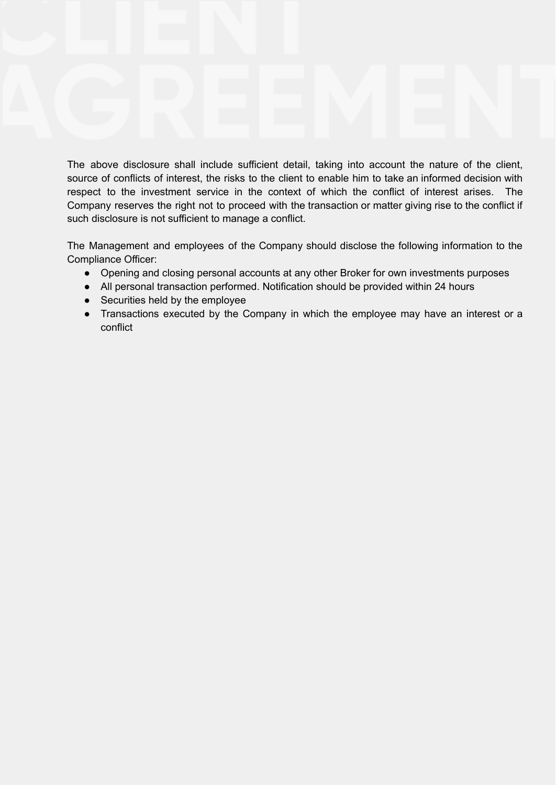The above disclosure shall include sufficient detail, taking into account the nature of the client, source of conflicts of interest, the risks to the client to enable him to take an informed decision with respect to the investment service in the context of which the conflict of interest arises. The Company reserves the right not to proceed with the transaction or matter giving rise to the conflict if such disclosure is not sufficient to manage a conflict.

The Management and employees of the Company should disclose the following information to the Compliance Officer:

- Opening and closing personal accounts at any other Broker for own investments purposes
- All personal transaction performed. Notification should be provided within 24 hours
- Securities held by the employee
- Transactions executed by the Company in which the employee may have an interest or a conflict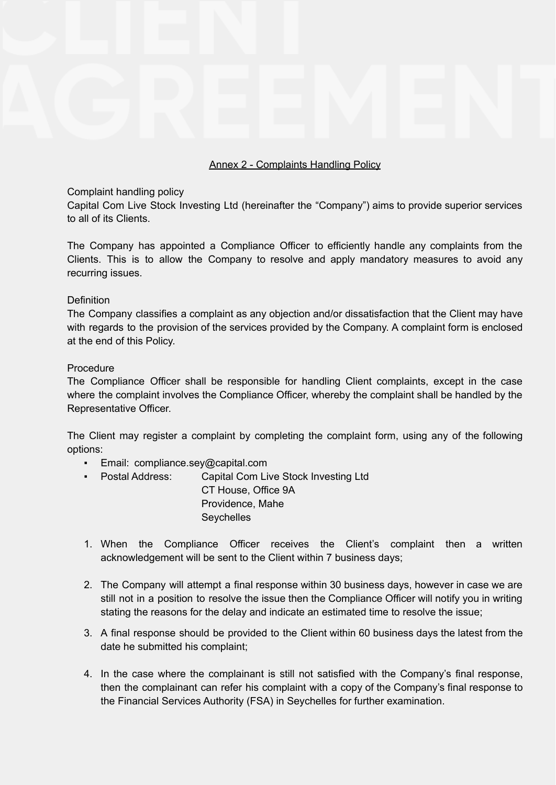# Annex 2 - Complaints Handling Policy

## Complaint handling policy

Capital Com Live Stock Investing Ltd (hereinafter the "Company") aims to provide superior services to all of its Clients.

The Company has appointed a Compliance Officer to efficiently handle any complaints from the Clients. This is to allow the Company to resolve and apply mandatory measures to avoid any recurring issues.

### **Definition**

The Company classifies a complaint as any objection and/or dissatisfaction that the Client may have with regards to the provision of the services provided by the Company. A complaint form is enclosed at the end of this Policy.

### Procedure

The Compliance Officer shall be responsible for handling Client complaints, except in the case where the complaint involves the Compliance Officer, whereby the complaint shall be handled by the Representative Officer.

The Client may register a complaint by completing the complaint form, using any of the following options:

- **Email: compliance.sey@capital.com**
- Postal Address: Capital Com Live Stock Investing Ltd CT House, Office 9A Providence, Mahe **Seychelles**
- 1. When the Compliance Officer receives the Client's complaint then a written acknowledgement will be sent to the Client within 7 business days;
- 2. The Company will attempt a final response within 30 business days, however in case we are still not in a position to resolve the issue then the Compliance Officer will notify you in writing stating the reasons for the delay and indicate an estimated time to resolve the issue;
- 3. A final response should be provided to the Client within 60 business days the latest from the date he submitted his complaint;
- 4. In the case where the complainant is still not satisfied with the Company's final response, then the complainant can refer his complaint with a copy of the Company's final response to the Financial Services Authority (FSA) in Seychelles for further examination.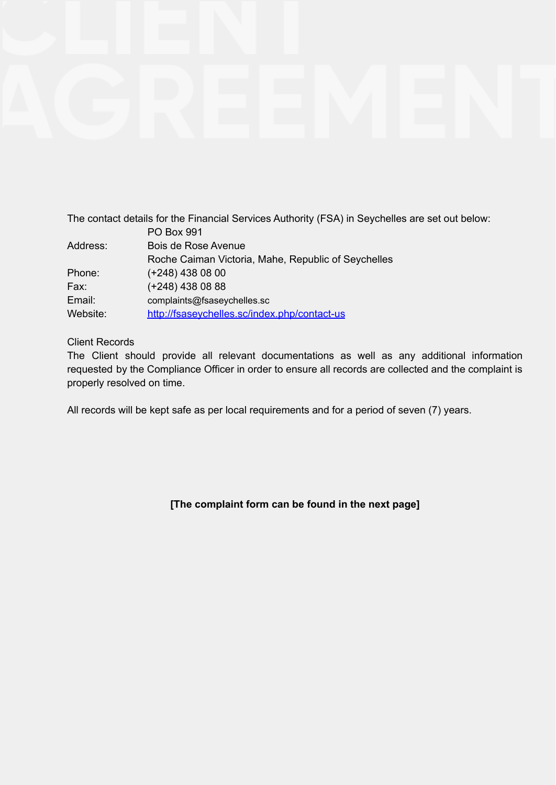|          | The contact details for the Financial Services Authority (FSA) in Seychelles are set out below: |
|----------|-------------------------------------------------------------------------------------------------|
|          | <b>PO Box 991</b>                                                                               |
| Address: | Bois de Rose Avenue                                                                             |
|          | Roche Caiman Victoria, Mahe, Republic of Seychelles                                             |
| Phone:   | $(+248)$ 438 08 00                                                                              |
| Fax:     | $(+248)$ 438 08 88                                                                              |
| Email:   | complaints@fsaseychelles.sc                                                                     |
| Website: | http://fsaseychelles.sc/index.php/contact-us                                                    |

# Client Records

The Client should provide all relevant documentations as well as any additional information requested by the Compliance Officer in order to ensure all records are collected and the complaint is properly resolved on time.

All records will be kept safe as per local requirements and for a period of seven (7) years.

# **[The complaint form can be found in the next page]**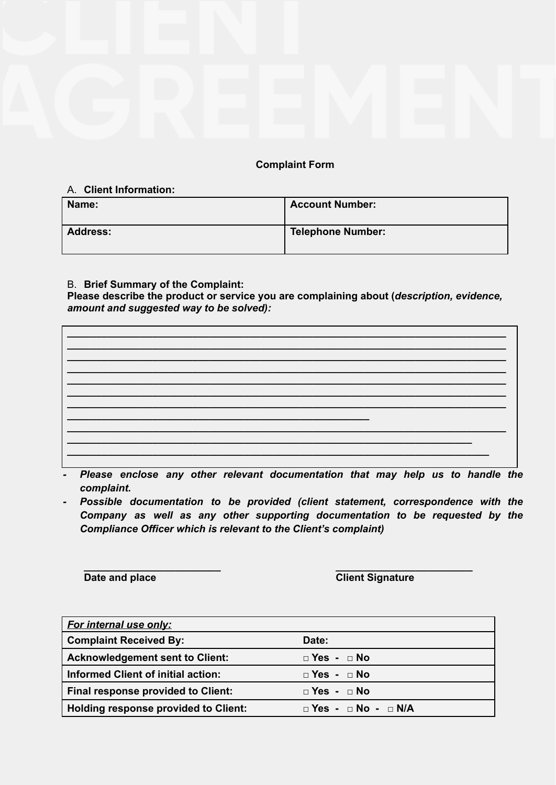# **Complaint Form**

# A. **Client Information:**

| Name:           | <b>Account Number:</b>   |
|-----------------|--------------------------|
| <b>Address:</b> | <b>Telephone Number:</b> |

# B. **Brief Summary of the Complaint:**

**Please describe the product or service you are complaining about (***description, evidence, amount and suggested way to be solved):*

- *- Please enclose any other relevant documentation that may help us to handle the complaint.*
- *- Possible documentation to be provided (client statement, correspondence with the Company as well as any other supporting documentation to be requested by the Compliance Officer which is relevant to the Client's complaint)*

**Date** and place **Client** Signature

| <b>For internal use only:</b>               |                                     |
|---------------------------------------------|-------------------------------------|
| <b>Complaint Received By:</b>               | Date:                               |
| <b>Acknowledgement sent to Client:</b>      | $\Box$ Yes - $\Box$ No              |
| <b>Informed Client of initial action:</b>   | $\Box$ Yes - $\Box$ No              |
| Final response provided to Client:          | $\Box$ Yes - $\Box$ No              |
| <b>Holding response provided to Client:</b> | $\Box$ Yes - $\Box$ No - $\Box$ N/A |

**\_\_\_\_\_\_\_\_\_\_\_\_\_\_\_\_\_\_\_\_\_\_\_\_ \_\_\_\_\_\_\_\_\_\_\_\_\_\_\_\_\_\_\_\_\_\_\_\_**